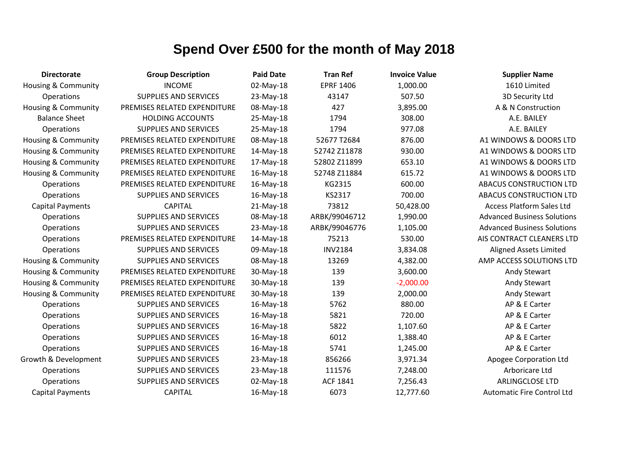| <b>Directorate</b>             | <b>Group Description</b>     | <b>Paid Date</b> | <b>Tran Ref</b>  | <b>Invoice Value</b> | <b>Supplier Name</b>               |
|--------------------------------|------------------------------|------------------|------------------|----------------------|------------------------------------|
| <b>Housing &amp; Community</b> | <b>INCOME</b>                | 02-May-18        | <b>EPRF 1406</b> | 1,000.00             | 1610 Limited                       |
| Operations                     | <b>SUPPLIES AND SERVICES</b> | 23-May-18        | 43147            | 507.50               | 3D Security Ltd                    |
| <b>Housing &amp; Community</b> | PREMISES RELATED EXPENDITURE | 08-May-18        | 427              | 3,895.00             | A & N Construction                 |
| <b>Balance Sheet</b>           | <b>HOLDING ACCOUNTS</b>      | 25-May-18        | 1794             | 308.00               | A.E. BAILEY                        |
| Operations                     | <b>SUPPLIES AND SERVICES</b> | 25-May-18        | 1794             | 977.08               | A.E. BAILEY                        |
| <b>Housing &amp; Community</b> | PREMISES RELATED EXPENDITURE | 08-May-18        | 52677 T2684      | 876.00               | A1 WINDOWS & DOORS LTD             |
| <b>Housing &amp; Community</b> | PREMISES RELATED EXPENDITURE | 14-May-18        | 52742 Z11878     | 930.00               | A1 WINDOWS & DOORS LTD             |
| <b>Housing &amp; Community</b> | PREMISES RELATED EXPENDITURE | 17-May-18        | 52802 Z11899     | 653.10               | A1 WINDOWS & DOORS LTD             |
| <b>Housing &amp; Community</b> | PREMISES RELATED EXPENDITURE | 16-May-18        | 52748 Z11884     | 615.72               | A1 WINDOWS & DOORS LTD             |
| Operations                     | PREMISES RELATED EXPENDITURE | 16-May-18        | KG2315           | 600.00               | ABACUS CONSTRUCTION LTD            |
| Operations                     | <b>SUPPLIES AND SERVICES</b> | 16-May-18        | KS2317           | 700.00               | <b>ABACUS CONSTRUCTION LTD</b>     |
| <b>Capital Payments</b>        | <b>CAPITAL</b>               | 21-May-18        | 73812            | 50,428.00            | <b>Access Platform Sales Ltd</b>   |
| Operations                     | <b>SUPPLIES AND SERVICES</b> | 08-May-18        | ARBK/99046712    | 1,990.00             | <b>Advanced Business Solutions</b> |
| Operations                     | <b>SUPPLIES AND SERVICES</b> | 23-May-18        | ARBK/99046776    | 1,105.00             | <b>Advanced Business Solutions</b> |
| Operations                     | PREMISES RELATED EXPENDITURE | 14-May-18        | 75213            | 530.00               | AIS CONTRACT CLEANERS LTD          |
| Operations                     | <b>SUPPLIES AND SERVICES</b> | 09-May-18        | <b>INV2184</b>   | 3,834.08             | <b>Aligned Assets Limited</b>      |
| <b>Housing &amp; Community</b> | <b>SUPPLIES AND SERVICES</b> | 08-May-18        | 13269            | 4,382.00             | AMP ACCESS SOLUTIONS LTD           |
| Housing & Community            | PREMISES RELATED EXPENDITURE | 30-May-18        | 139              | 3,600.00             | Andy Stewart                       |
| <b>Housing &amp; Community</b> | PREMISES RELATED EXPENDITURE | 30-May-18        | 139              | $-2,000.00$          | Andy Stewart                       |
| Housing & Community            | PREMISES RELATED EXPENDITURE | 30-May-18        | 139              | 2,000.00             | Andy Stewart                       |
| Operations                     | <b>SUPPLIES AND SERVICES</b> | 16-May-18        | 5762             | 880.00               | AP & E Carter                      |
| Operations                     | <b>SUPPLIES AND SERVICES</b> | 16-May-18        | 5821             | 720.00               | AP & E Carter                      |
| Operations                     | <b>SUPPLIES AND SERVICES</b> | 16-May-18        | 5822             | 1,107.60             | AP & E Carter                      |
| Operations                     | <b>SUPPLIES AND SERVICES</b> | 16-May-18        | 6012             | 1,388.40             | AP & E Carter                      |
| Operations                     | <b>SUPPLIES AND SERVICES</b> | 16-May-18        | 5741             | 1,245.00             | AP & E Carter                      |
| Growth & Development           | <b>SUPPLIES AND SERVICES</b> | 23-May-18        | 856266           | 3,971.34             | Apogee Corporation Ltd             |
| Operations                     | <b>SUPPLIES AND SERVICES</b> | 23-May-18        | 111576           | 7,248.00             | Arboricare Ltd                     |
| Operations                     | <b>SUPPLIES AND SERVICES</b> | 02-May-18        | <b>ACF 1841</b>  | 7,256.43             | ARLINGCLOSE LTD                    |
| <b>Capital Payments</b>        | <b>CAPITAL</b>               | 16-May-18        | 6073             | 12,777.60            | <b>Automatic Fire Control Ltd</b>  |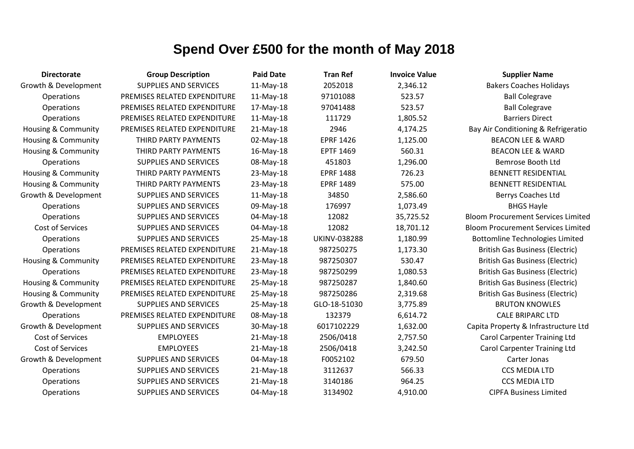| <b>Directorate</b>             | <b>Group Description</b>     | <b>Paid Date</b> | <b>Tran Ref</b>     | <b>Invoice Value</b> | <b>Supplier Name</b>                      |
|--------------------------------|------------------------------|------------------|---------------------|----------------------|-------------------------------------------|
| Growth & Development           | <b>SUPPLIES AND SERVICES</b> | 11-May-18        | 2052018             | 2,346.12             | <b>Bakers Coaches Holidays</b>            |
| Operations                     | PREMISES RELATED EXPENDITURE | $11-May-18$      | 97101088            | 523.57               | <b>Ball Colegrave</b>                     |
| Operations                     | PREMISES RELATED EXPENDITURE | 17-May-18        | 97041488            | 523.57               | <b>Ball Colegrave</b>                     |
| Operations                     | PREMISES RELATED EXPENDITURE | 11-May-18        | 111729              | 1,805.52             | <b>Barriers Direct</b>                    |
| Housing & Community            | PREMISES RELATED EXPENDITURE | 21-May-18        | 2946                | 4,174.25             | Bay Air Conditioning & Refrigeratio       |
| <b>Housing &amp; Community</b> | THIRD PARTY PAYMENTS         | 02-May-18        | <b>EPRF 1426</b>    | 1,125.00             | <b>BEACON LEE &amp; WARD</b>              |
| Housing & Community            | THIRD PARTY PAYMENTS         | 16-May-18        | <b>EPTF 1469</b>    | 560.31               | <b>BEACON LEE &amp; WARD</b>              |
| <b>Operations</b>              | <b>SUPPLIES AND SERVICES</b> | 08-May-18        | 451803              | 1,296.00             | Bemrose Booth Ltd                         |
| Housing & Community            | THIRD PARTY PAYMENTS         | 23-May-18        | <b>EPRF 1488</b>    | 726.23               | <b>BENNETT RESIDENTIAL</b>                |
| <b>Housing &amp; Community</b> | THIRD PARTY PAYMENTS         | 23-May-18        | <b>EPRF 1489</b>    | 575.00               | <b>BENNETT RESIDENTIAL</b>                |
| Growth & Development           | <b>SUPPLIES AND SERVICES</b> | 11-May-18        | 34850               | 2,586.60             | Berrys Coaches Ltd                        |
| <b>Operations</b>              | <b>SUPPLIES AND SERVICES</b> | 09-May-18        | 176997              | 1,073.49             | <b>BHGS Hayle</b>                         |
| Operations                     | <b>SUPPLIES AND SERVICES</b> | 04-May-18        | 12082               | 35,725.52            | <b>Bloom Procurement Services Limited</b> |
| <b>Cost of Services</b>        | <b>SUPPLIES AND SERVICES</b> | 04-May-18        | 12082               | 18,701.12            | <b>Bloom Procurement Services Limited</b> |
| Operations                     | <b>SUPPLIES AND SERVICES</b> | 25-May-18        | <b>UKINV-038288</b> | 1,180.99             | <b>Bottomline Technologies Limited</b>    |
| Operations                     | PREMISES RELATED EXPENDITURE | 21-May-18        | 987250275           | 1,173.30             | <b>British Gas Business (Electric)</b>    |
| Housing & Community            | PREMISES RELATED EXPENDITURE | 23-May-18        | 987250307           | 530.47               | <b>British Gas Business (Electric)</b>    |
| Operations                     | PREMISES RELATED EXPENDITURE | 23-May-18        | 987250299           | 1,080.53             | <b>British Gas Business (Electric)</b>    |
| Housing & Community            | PREMISES RELATED EXPENDITURE | 25-May-18        | 987250287           | 1,840.60             | <b>British Gas Business (Electric)</b>    |
| <b>Housing &amp; Community</b> | PREMISES RELATED EXPENDITURE | 25-May-18        | 987250286           | 2,319.68             | <b>British Gas Business (Electric)</b>    |
| Growth & Development           | <b>SUPPLIES AND SERVICES</b> | 25-May-18        | GLO-18-51030        | 3,775.89             | <b>BRUTON KNOWLES</b>                     |
| <b>Operations</b>              | PREMISES RELATED EXPENDITURE | 08-May-18        | 132379              | 6,614.72             | <b>CALE BRIPARC LTD</b>                   |
| Growth & Development           | <b>SUPPLIES AND SERVICES</b> | 30-May-18        | 6017102229          | 1,632.00             | Capita Property & Infrastructure Ltd      |
| Cost of Services               | <b>EMPLOYEES</b>             | 21-May-18        | 2506/0418           | 2,757.50             | <b>Carol Carpenter Training Ltd</b>       |
| Cost of Services               | <b>EMPLOYEES</b>             | $21-May-18$      | 2506/0418           | 3,242.50             | <b>Carol Carpenter Training Ltd</b>       |
| Growth & Development           | <b>SUPPLIES AND SERVICES</b> | 04-May-18        | F0052102            | 679.50               | Carter Jonas                              |
| Operations                     | <b>SUPPLIES AND SERVICES</b> | $21-May-18$      | 3112637             | 566.33               | <b>CCS MEDIA LTD</b>                      |
| Operations                     | <b>SUPPLIES AND SERVICES</b> | $21-May-18$      | 3140186             | 964.25               | <b>CCS MEDIA LTD</b>                      |
| Operations                     | <b>SUPPLIES AND SERVICES</b> | 04-May-18        | 3134902             | 4,910.00             | <b>CIPFA Business Limited</b>             |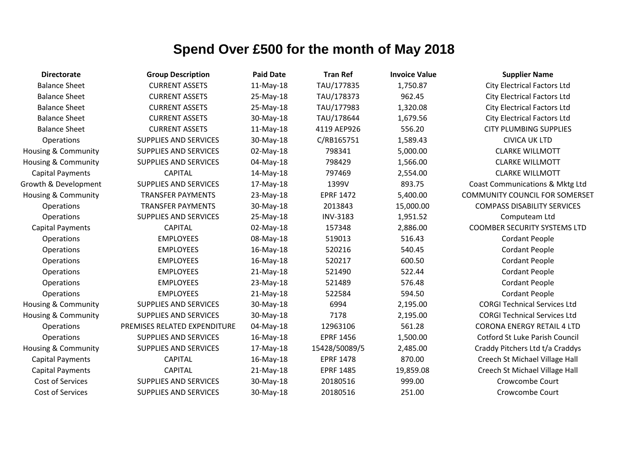| <b>Directorate</b>             | <b>Group Description</b>     | <b>Paid Date</b> | <b>Tran Ref</b>  | <b>Invoice Value</b> | <b>Supplier Name</b>                  |
|--------------------------------|------------------------------|------------------|------------------|----------------------|---------------------------------------|
| <b>Balance Sheet</b>           | <b>CURRENT ASSETS</b>        | 11-May-18        | TAU/177835       | 1,750.87             | <b>City Electrical Factors Ltd</b>    |
| <b>Balance Sheet</b>           | <b>CURRENT ASSETS</b>        | 25-May-18        | TAU/178373       | 962.45               | <b>City Electrical Factors Ltd</b>    |
| <b>Balance Sheet</b>           | <b>CURRENT ASSETS</b>        | 25-May-18        | TAU/177983       | 1,320.08             | <b>City Electrical Factors Ltd</b>    |
| <b>Balance Sheet</b>           | <b>CURRENT ASSETS</b>        | 30-May-18        | TAU/178644       | 1,679.56             | <b>City Electrical Factors Ltd</b>    |
| <b>Balance Sheet</b>           | <b>CURRENT ASSETS</b>        | 11-May-18        | 4119 AEP926      | 556.20               | <b>CITY PLUMBING SUPPLIES</b>         |
| Operations                     | <b>SUPPLIES AND SERVICES</b> | 30-May-18        | C/RB165751       | 1,589.43             | <b>CIVICA UK LTD</b>                  |
| Housing & Community            | <b>SUPPLIES AND SERVICES</b> | 02-May-18        | 798341           | 5,000.00             | <b>CLARKE WILLMOTT</b>                |
| Housing & Community            | <b>SUPPLIES AND SERVICES</b> | 04-May-18        | 798429           | 1,566.00             | <b>CLARKE WILLMOTT</b>                |
| <b>Capital Payments</b>        | <b>CAPITAL</b>               | 14-May-18        | 797469           | 2,554.00             | <b>CLARKE WILLMOTT</b>                |
| Growth & Development           | <b>SUPPLIES AND SERVICES</b> | 17-May-18        | 1399V            | 893.75               | Coast Communications & Mktg Ltd       |
| Housing & Community            | <b>TRANSFER PAYMENTS</b>     | 23-May-18        | <b>EPRF 1472</b> | 5,400.00             | <b>COMMUNITY COUNCIL FOR SOMERSET</b> |
| Operations                     | <b>TRANSFER PAYMENTS</b>     | 30-May-18        | 2013843          | 15,000.00            | <b>COMPASS DISABILITY SERVICES</b>    |
| <b>Operations</b>              | <b>SUPPLIES AND SERVICES</b> | 25-May-18        | <b>INV-3183</b>  | 1,951.52             | Computeam Ltd                         |
| <b>Capital Payments</b>        | <b>CAPITAL</b>               | 02-May-18        | 157348           | 2,886.00             | <b>COOMBER SECURITY SYSTEMS LTD</b>   |
| Operations                     | <b>EMPLOYEES</b>             | 08-May-18        | 519013           | 516.43               | <b>Cordant People</b>                 |
| Operations                     | <b>EMPLOYEES</b>             | 16-May-18        | 520216           | 540.45               | <b>Cordant People</b>                 |
| Operations                     | <b>EMPLOYEES</b>             | 16-May-18        | 520217           | 600.50               | <b>Cordant People</b>                 |
| Operations                     | <b>EMPLOYEES</b>             | 21-May-18        | 521490           | 522.44               | <b>Cordant People</b>                 |
| Operations                     | <b>EMPLOYEES</b>             | 23-May-18        | 521489           | 576.48               | <b>Cordant People</b>                 |
| Operations                     | <b>EMPLOYEES</b>             | 21-May-18        | 522584           | 594.50               | <b>Cordant People</b>                 |
| <b>Housing &amp; Community</b> | <b>SUPPLIES AND SERVICES</b> | 30-May-18        | 6994             | 2,195.00             | <b>CORGI Technical Services Ltd</b>   |
| Housing & Community            | <b>SUPPLIES AND SERVICES</b> | 30-May-18        | 7178             | 2,195.00             | <b>CORGI Technical Services Ltd</b>   |
| <b>Operations</b>              | PREMISES RELATED EXPENDITURE | 04-May-18        | 12963106         | 561.28               | <b>CORONA ENERGY RETAIL 4 LTD</b>     |
| Operations                     | <b>SUPPLIES AND SERVICES</b> | 16-May-18        | <b>EPRF 1456</b> | 1,500.00             | <b>Cotford St Luke Parish Council</b> |
| <b>Housing &amp; Community</b> | <b>SUPPLIES AND SERVICES</b> | 17-May-18        | 15428/50089/5    | 2,485.00             | Craddy Pitchers Ltd t/a Craddys       |
| <b>Capital Payments</b>        | <b>CAPITAL</b>               | 16-May-18        | <b>EPRF 1478</b> | 870.00               | Creech St Michael Village Hall        |
| <b>Capital Payments</b>        | <b>CAPITAL</b>               | 21-May-18        | <b>EPRF 1485</b> | 19,859.08            | Creech St Michael Village Hall        |
| Cost of Services               | <b>SUPPLIES AND SERVICES</b> | 30-May-18        | 20180516         | 999.00               | Crowcombe Court                       |
| Cost of Services               | <b>SUPPLIES AND SERVICES</b> | 30-May-18        | 20180516         | 251.00               | Crowcombe Court                       |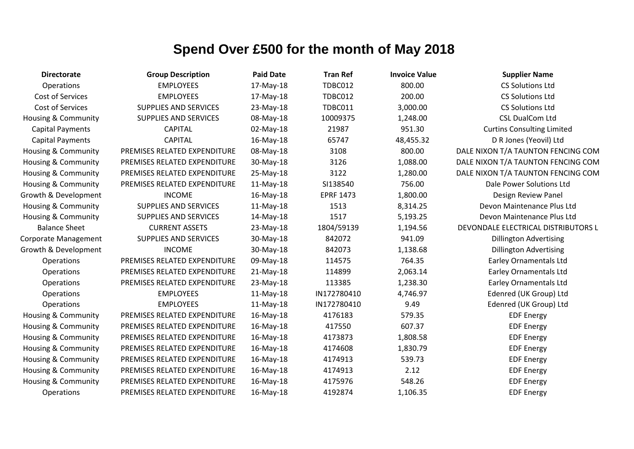| <b>Directorate</b>             | <b>Group Description</b>     | <b>Paid Date</b> | <b>Tran Ref</b>  | <b>Invoice Value</b> | <b>Supplier Name</b>                |
|--------------------------------|------------------------------|------------------|------------------|----------------------|-------------------------------------|
| Operations                     | <b>EMPLOYEES</b>             | 17-May-18        | <b>TDBC012</b>   | 800.00               | <b>CS Solutions Ltd</b>             |
| Cost of Services               | <b>EMPLOYEES</b>             | 17-May-18        | TDBC012          | 200.00               | <b>CS Solutions Ltd</b>             |
| Cost of Services               | <b>SUPPLIES AND SERVICES</b> | 23-May-18        | <b>TDBC011</b>   | 3,000.00             | <b>CS Solutions Ltd</b>             |
| <b>Housing &amp; Community</b> | <b>SUPPLIES AND SERVICES</b> | 08-May-18        | 10009375         | 1,248.00             | <b>CSL DualCom Ltd</b>              |
| <b>Capital Payments</b>        | <b>CAPITAL</b>               | 02-May-18        | 21987            | 951.30               | <b>Curtins Consulting Limited</b>   |
| <b>Capital Payments</b>        | <b>CAPITAL</b>               | 16-May-18        | 65747            | 48,455.32            | D R Jones (Yeovil) Ltd              |
| <b>Housing &amp; Community</b> | PREMISES RELATED EXPENDITURE | 08-May-18        | 3108             | 800.00               | DALE NIXON T/A TAUNTON FENCING COM  |
| <b>Housing &amp; Community</b> | PREMISES RELATED EXPENDITURE | 30-May-18        | 3126             | 1,088.00             | DALE NIXON T/A TAUNTON FENCING COM  |
| <b>Housing &amp; Community</b> | PREMISES RELATED EXPENDITURE | 25-May-18        | 3122             | 1,280.00             | DALE NIXON T/A TAUNTON FENCING COM  |
| Housing & Community            | PREMISES RELATED EXPENDITURE | 11-May-18        | SI138540         | 756.00               | Dale Power Solutions Ltd            |
| Growth & Development           | <b>INCOME</b>                | 16-May-18        | <b>EPRF 1473</b> | 1,800.00             | Design Review Panel                 |
| Housing & Community            | <b>SUPPLIES AND SERVICES</b> | 11-May-18        | 1513             | 8,314.25             | Devon Maintenance Plus Ltd          |
| <b>Housing &amp; Community</b> | SUPPLIES AND SERVICES        | 14-May-18        | 1517             | 5,193.25             | Devon Maintenance Plus Ltd          |
| <b>Balance Sheet</b>           | <b>CURRENT ASSETS</b>        | 23-May-18        | 1804/59139       | 1,194.56             | DEVONDALE ELECTRICAL DISTRIBUTORS L |
| Corporate Management           | SUPPLIES AND SERVICES        | 30-May-18        | 842072           | 941.09               | <b>Dillington Advertising</b>       |
| Growth & Development           | <b>INCOME</b>                | 30-May-18        | 842073           | 1,138.68             | <b>Dillington Advertising</b>       |
| Operations                     | PREMISES RELATED EXPENDITURE | 09-May-18        | 114575           | 764.35               | <b>Earley Ornamentals Ltd</b>       |
| Operations                     | PREMISES RELATED EXPENDITURE | 21-May-18        | 114899           | 2,063.14             | <b>Earley Ornamentals Ltd</b>       |
| Operations                     | PREMISES RELATED EXPENDITURE | 23-May-18        | 113385           | 1,238.30             | <b>Earley Ornamentals Ltd</b>       |
| Operations                     | <b>EMPLOYEES</b>             | $11-May-18$      | IN172780410      | 4,746.97             | Edenred (UK Group) Ltd              |
| Operations                     | <b>EMPLOYEES</b>             | 11-May-18        | IN172780410      | 9.49                 | Edenred (UK Group) Ltd              |
| Housing & Community            | PREMISES RELATED EXPENDITURE | 16-May-18        | 4176183          | 579.35               | <b>EDF Energy</b>                   |
| <b>Housing &amp; Community</b> | PREMISES RELATED EXPENDITURE | 16-May-18        | 417550           | 607.37               | <b>EDF Energy</b>                   |
| Housing & Community            | PREMISES RELATED EXPENDITURE | 16-May-18        | 4173873          | 1,808.58             | <b>EDF Energy</b>                   |
| Housing & Community            | PREMISES RELATED EXPENDITURE | 16-May-18        | 4174608          | 1,830.79             | <b>EDF Energy</b>                   |
| Housing & Community            | PREMISES RELATED EXPENDITURE | 16-May-18        | 4174913          | 539.73               | <b>EDF Energy</b>                   |
| Housing & Community            | PREMISES RELATED EXPENDITURE | 16-May-18        | 4174913          | 2.12                 | <b>EDF Energy</b>                   |
| <b>Housing &amp; Community</b> | PREMISES RELATED EXPENDITURE | 16-May-18        | 4175976          | 548.26               | <b>EDF Energy</b>                   |
| Operations                     | PREMISES RELATED EXPENDITURE | 16-May-18        | 4192874          | 1,106.35             | <b>EDF Energy</b>                   |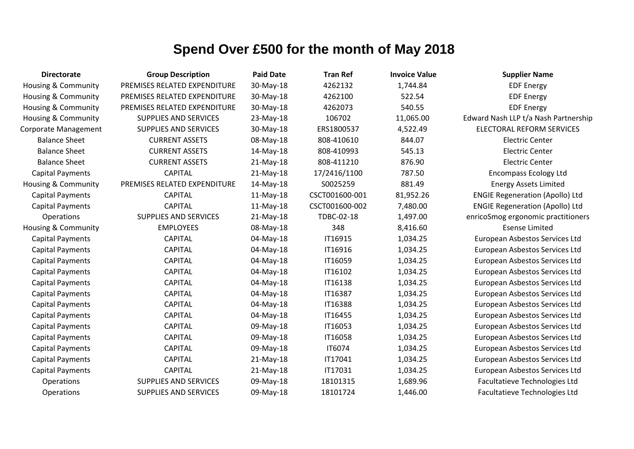| <b>Directorate</b>             | <b>Group Description</b>     | <b>Paid Date</b> | <b>Tran Ref</b> | <b>Invoice Value</b> | <b>Supplier Name</b>                   |
|--------------------------------|------------------------------|------------------|-----------------|----------------------|----------------------------------------|
| <b>Housing &amp; Community</b> | PREMISES RELATED EXPENDITURE | 30-May-18        | 4262132         | 1,744.84             | <b>EDF Energy</b>                      |
| Housing & Community            | PREMISES RELATED EXPENDITURE | 30-May-18        | 4262100         | 522.54               | <b>EDF Energy</b>                      |
| Housing & Community            | PREMISES RELATED EXPENDITURE | 30-May-18        | 4262073         | 540.55               | <b>EDF Energy</b>                      |
| <b>Housing &amp; Community</b> | <b>SUPPLIES AND SERVICES</b> | 23-May-18        | 106702          | 11,065.00            | Edward Nash LLP t/a Nash Partnership   |
| Corporate Management           | SUPPLIES AND SERVICES        | 30-May-18        | ERS1800537      | 4,522.49             | <b>ELECTORAL REFORM SERVICES</b>       |
| <b>Balance Sheet</b>           | <b>CURRENT ASSETS</b>        | 08-May-18        | 808-410610      | 844.07               | <b>Electric Center</b>                 |
| <b>Balance Sheet</b>           | <b>CURRENT ASSETS</b>        | 14-May-18        | 808-410993      | 545.13               | <b>Electric Center</b>                 |
| <b>Balance Sheet</b>           | <b>CURRENT ASSETS</b>        | $21-May-18$      | 808-411210      | 876.90               | <b>Electric Center</b>                 |
| <b>Capital Payments</b>        | <b>CAPITAL</b>               | $21-May-18$      | 17/2416/1100    | 787.50               | <b>Encompass Ecology Ltd</b>           |
| Housing & Community            | PREMISES RELATED EXPENDITURE | 14-May-18        | S0025259        | 881.49               | <b>Energy Assets Limited</b>           |
| <b>Capital Payments</b>        | <b>CAPITAL</b>               | $11-May-18$      | CSCT001600-001  | 81,952.26            | <b>ENGIE Regeneration (Apollo) Ltd</b> |
| <b>Capital Payments</b>        | <b>CAPITAL</b>               | $11-May-18$      | CSCT001600-002  | 7,480.00             | <b>ENGIE Regeneration (Apollo) Ltd</b> |
| Operations                     | <b>SUPPLIES AND SERVICES</b> | $21-May-18$      | TDBC-02-18      | 1,497.00             | enricoSmog ergonomic practitioners     |
| Housing & Community            | <b>EMPLOYEES</b>             | 08-May-18        | 348             | 8,416.60             | <b>Esense Limited</b>                  |
| <b>Capital Payments</b>        | <b>CAPITAL</b>               | 04-May-18        | IT16915         | 1,034.25             | European Asbestos Services Ltd         |
| <b>Capital Payments</b>        | <b>CAPITAL</b>               | 04-May-18        | IT16916         | 1,034.25             | European Asbestos Services Ltd         |
| <b>Capital Payments</b>        | <b>CAPITAL</b>               | 04-May-18        | IT16059         | 1,034.25             | European Asbestos Services Ltd         |
| <b>Capital Payments</b>        | <b>CAPITAL</b>               | 04-May-18        | IT16102         | 1,034.25             | European Asbestos Services Ltd         |
| <b>Capital Payments</b>        | <b>CAPITAL</b>               | 04-May-18        | IT16138         | 1,034.25             | European Asbestos Services Ltd         |
| <b>Capital Payments</b>        | <b>CAPITAL</b>               | 04-May-18        | IT16387         | 1,034.25             | European Asbestos Services Ltd         |
| <b>Capital Payments</b>        | <b>CAPITAL</b>               | 04-May-18        | <b>IT16388</b>  | 1,034.25             | European Asbestos Services Ltd         |
| <b>Capital Payments</b>        | <b>CAPITAL</b>               | 04-May-18        | IT16455         | 1,034.25             | European Asbestos Services Ltd         |
| <b>Capital Payments</b>        | <b>CAPITAL</b>               | 09-May-18        | IT16053         | 1,034.25             | European Asbestos Services Ltd         |
| <b>Capital Payments</b>        | <b>CAPITAL</b>               | 09-May-18        | IT16058         | 1,034.25             | European Asbestos Services Ltd         |
| <b>Capital Payments</b>        | <b>CAPITAL</b>               | 09-May-18        | IT6074          | 1,034.25             | European Asbestos Services Ltd         |
| <b>Capital Payments</b>        | <b>CAPITAL</b>               | $21-May-18$      | IT17041         | 1,034.25             | European Asbestos Services Ltd         |
| <b>Capital Payments</b>        | <b>CAPITAL</b>               | $21-May-18$      | IT17031         | 1,034.25             | European Asbestos Services Ltd         |
| <b>Operations</b>              | <b>SUPPLIES AND SERVICES</b> | 09-May-18        | 18101315        | 1,689.96             | Facultatieve Technologies Ltd          |
| Operations                     | <b>SUPPLIES AND SERVICES</b> | 09-May-18        | 18101724        | 1,446.00             | Facultatieve Technologies Ltd          |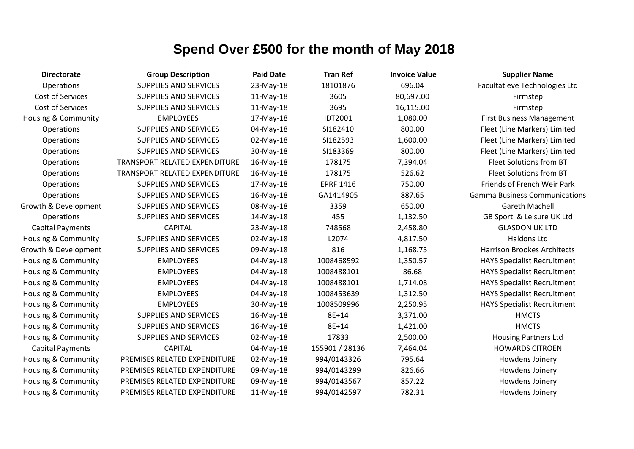| <b>Directorate</b>             | <b>Group Description</b>      | <b>Paid Date</b> | <b>Tran Ref</b>  | <b>Invoice Value</b> | <b>Supplier Name</b>                 |
|--------------------------------|-------------------------------|------------------|------------------|----------------------|--------------------------------------|
| Operations                     | <b>SUPPLIES AND SERVICES</b>  | 23-May-18        | 18101876         | 696.04               | Facultatieve Technologies Ltd        |
| Cost of Services               | <b>SUPPLIES AND SERVICES</b>  | 11-May-18        | 3605             | 80,697.00            | Firmstep                             |
| Cost of Services               | <b>SUPPLIES AND SERVICES</b>  | 11-May-18        | 3695             | 16,115.00            | Firmstep                             |
| <b>Housing &amp; Community</b> | <b>EMPLOYEES</b>              | 17-May-18        | <b>IDT2001</b>   | 1,080.00             | <b>First Business Management</b>     |
| Operations                     | <b>SUPPLIES AND SERVICES</b>  | 04-May-18        | SI182410         | 800.00               | Fleet (Line Markers) Limited         |
| Operations                     | <b>SUPPLIES AND SERVICES</b>  | 02-May-18        | SI182593         | 1,600.00             | Fleet (Line Markers) Limited         |
| Operations                     | <b>SUPPLIES AND SERVICES</b>  | 30-May-18        | SI183369         | 800.00               | Fleet (Line Markers) Limited         |
| Operations                     | TRANSPORT RELATED EXPENDITURE | 16-May-18        | 178175           | 7,394.04             | Fleet Solutions from BT              |
| Operations                     | TRANSPORT RELATED EXPENDITURE | 16-May-18        | 178175           | 526.62               | Fleet Solutions from BT              |
| Operations                     | <b>SUPPLIES AND SERVICES</b>  | 17-May-18        | <b>EPRF 1416</b> | 750.00               | Friends of French Weir Park          |
| Operations                     | <b>SUPPLIES AND SERVICES</b>  | 16-May-18        | GA1414905        | 887.65               | <b>Gamma Business Communications</b> |
| Growth & Development           | <b>SUPPLIES AND SERVICES</b>  | 08-May-18        | 3359             | 650.00               | <b>Gareth Machell</b>                |
| Operations                     | <b>SUPPLIES AND SERVICES</b>  | 14-May-18        | 455              | 1,132.50             | GB Sport & Leisure UK Ltd            |
| <b>Capital Payments</b>        | <b>CAPITAL</b>                | 23-May-18        | 748568           | 2,458.80             | <b>GLASDON UK LTD</b>                |
| Housing & Community            | <b>SUPPLIES AND SERVICES</b>  | 02-May-18        | L2074            | 4,817.50             | Haldons Ltd                          |
| Growth & Development           | <b>SUPPLIES AND SERVICES</b>  | 09-May-18        | 816              | 1,168.75             | <b>Harrison Brookes Architects</b>   |
| Housing & Community            | <b>EMPLOYEES</b>              | 04-May-18        | 1008468592       | 1,350.57             | <b>HAYS Specialist Recruitment</b>   |
| Housing & Community            | <b>EMPLOYEES</b>              | 04-May-18        | 1008488101       | 86.68                | <b>HAYS Specialist Recruitment</b>   |
| <b>Housing &amp; Community</b> | <b>EMPLOYEES</b>              | 04-May-18        | 1008488101       | 1,714.08             | <b>HAYS Specialist Recruitment</b>   |
| Housing & Community            | <b>EMPLOYEES</b>              | 04-May-18        | 1008453639       | 1,312.50             | <b>HAYS Specialist Recruitment</b>   |
| <b>Housing &amp; Community</b> | <b>EMPLOYEES</b>              | 30-May-18        | 1008509996       | 2,250.95             | <b>HAYS Specialist Recruitment</b>   |
| Housing & Community            | <b>SUPPLIES AND SERVICES</b>  | $16$ -May- $18$  | 8E+14            | 3,371.00             | <b>HMCTS</b>                         |
| Housing & Community            | <b>SUPPLIES AND SERVICES</b>  | 16-May-18        | 8E+14            | 1,421.00             | <b>HMCTS</b>                         |
| <b>Housing &amp; Community</b> | <b>SUPPLIES AND SERVICES</b>  | 02-May-18        | 17833            | 2,500.00             | <b>Housing Partners Ltd</b>          |
| <b>Capital Payments</b>        | <b>CAPITAL</b>                | 04-May-18        | 155901 / 28136   | 7,464.04             | <b>HOWARDS CITROEN</b>               |
| Housing & Community            | PREMISES RELATED EXPENDITURE  | 02-May-18        | 994/0143326      | 795.64               | Howdens Joinery                      |
| Housing & Community            | PREMISES RELATED EXPENDITURE  | 09-May-18        | 994/0143299      | 826.66               | Howdens Joinery                      |
| <b>Housing &amp; Community</b> | PREMISES RELATED EXPENDITURE  | 09-May-18        | 994/0143567      | 857.22               | Howdens Joinery                      |
| Housing & Community            | PREMISES RELATED EXPENDITURE  | 11-May-18        | 994/0142597      | 782.31               | Howdens Joinery                      |
|                                |                               |                  |                  |                      |                                      |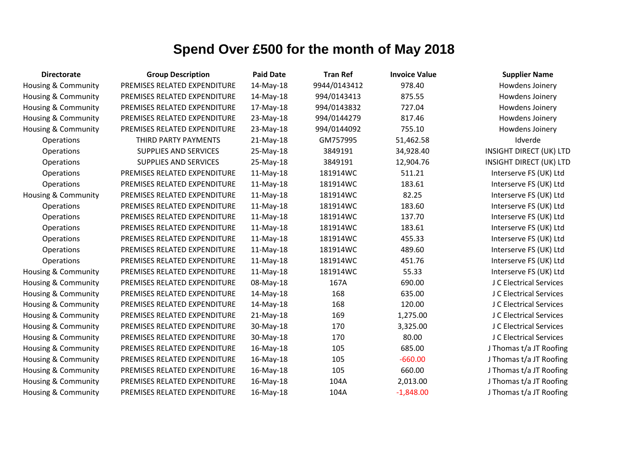| <b>Directorate</b>             | <b>Group Description</b>     | <b>Paid Date</b> | <b>Tran Ref</b> | <b>Invoice Value</b> | <b>Supplier Name</b>           |
|--------------------------------|------------------------------|------------------|-----------------|----------------------|--------------------------------|
| Housing & Community            | PREMISES RELATED EXPENDITURE | 14-May-18        | 9944/0143412    | 978.40               | Howdens Joinery                |
| Housing & Community            | PREMISES RELATED EXPENDITURE | 14-May-18        | 994/0143413     | 875.55               | Howdens Joinery                |
| Housing & Community            | PREMISES RELATED EXPENDITURE | 17-May-18        | 994/0143832     | 727.04               | Howdens Joinery                |
| <b>Housing &amp; Community</b> | PREMISES RELATED EXPENDITURE | 23-May-18        | 994/0144279     | 817.46               | Howdens Joinery                |
| <b>Housing &amp; Community</b> | PREMISES RELATED EXPENDITURE | 23-May-18        | 994/0144092     | 755.10               | Howdens Joinery                |
| Operations                     | THIRD PARTY PAYMENTS         | 21-May-18        | GM757995        | 51,462.58            | Idverde                        |
| Operations                     | <b>SUPPLIES AND SERVICES</b> | 25-May-18        | 3849191         | 34,928.40            | <b>INSIGHT DIRECT (UK) LTD</b> |
| Operations                     | <b>SUPPLIES AND SERVICES</b> | 25-May-18        | 3849191         | 12,904.76            | <b>INSIGHT DIRECT (UK) LTD</b> |
| Operations                     | PREMISES RELATED EXPENDITURE | $11-May-18$      | 181914WC        | 511.21               | Interserve FS (UK) Ltd         |
| Operations                     | PREMISES RELATED EXPENDITURE | 11-May-18        | 181914WC        | 183.61               | Interserve FS (UK) Ltd         |
| <b>Housing &amp; Community</b> | PREMISES RELATED EXPENDITURE | 11-May-18        | 181914WC        | 82.25                | Interserve FS (UK) Ltd         |
| Operations                     | PREMISES RELATED EXPENDITURE | $11-May-18$      | 181914WC        | 183.60               | Interserve FS (UK) Ltd         |
| Operations                     | PREMISES RELATED EXPENDITURE | $11-May-18$      | 181914WC        | 137.70               | Interserve FS (UK) Ltd         |
| Operations                     | PREMISES RELATED EXPENDITURE | $11-May-18$      | 181914WC        | 183.61               | Interserve FS (UK) Ltd         |
| Operations                     | PREMISES RELATED EXPENDITURE | $11-May-18$      | 181914WC        | 455.33               | Interserve FS (UK) Ltd         |
| Operations                     | PREMISES RELATED EXPENDITURE | $11-May-18$      | 181914WC        | 489.60               | Interserve FS (UK) Ltd         |
| Operations                     | PREMISES RELATED EXPENDITURE | 11-May-18        | 181914WC        | 451.76               | Interserve FS (UK) Ltd         |
| Housing & Community            | PREMISES RELATED EXPENDITURE | $11-May-18$      | 181914WC        | 55.33                | Interserve FS (UK) Ltd         |
| Housing & Community            | PREMISES RELATED EXPENDITURE | 08-May-18        | 167A            | 690.00               | J C Electrical Services        |
| Housing & Community            | PREMISES RELATED EXPENDITURE | 14-May-18        | 168             | 635.00               | J C Electrical Services        |
| Housing & Community            | PREMISES RELATED EXPENDITURE | 14-May-18        | 168             | 120.00               | J C Electrical Services        |
| Housing & Community            | PREMISES RELATED EXPENDITURE | 21-May-18        | 169             | 1,275.00             | J C Electrical Services        |
| Housing & Community            | PREMISES RELATED EXPENDITURE | 30-May-18        | 170             | 3,325.00             | J C Electrical Services        |
| Housing & Community            | PREMISES RELATED EXPENDITURE | 30-May-18        | 170             | 80.00                | J C Electrical Services        |
| <b>Housing &amp; Community</b> | PREMISES RELATED EXPENDITURE | 16-May-18        | 105             | 685.00               | J Thomas t/a JT Roofing        |
| Housing & Community            | PREMISES RELATED EXPENDITURE | 16-May-18        | 105             | $-660.00$            | J Thomas t/a JT Roofing        |
| Housing & Community            | PREMISES RELATED EXPENDITURE | 16-May-18        | 105             | 660.00               | J Thomas t/a JT Roofing        |
| Housing & Community            | PREMISES RELATED EXPENDITURE | 16-May-18        | 104A            | 2,013.00             | J Thomas t/a JT Roofing        |
| Housing & Community            | PREMISES RELATED EXPENDITURE | 16-May-18        | 104A            | $-1,848.00$          | J Thomas t/a JT Roofing        |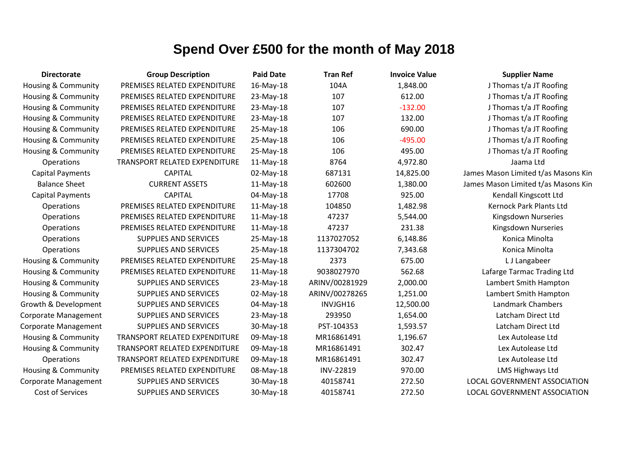| <b>Directorate</b>             | <b>Group Description</b>             | <b>Paid Date</b> | <b>Tran Ref</b> | <b>Invoice Value</b> | <b>Supplier Name</b>                |
|--------------------------------|--------------------------------------|------------------|-----------------|----------------------|-------------------------------------|
| <b>Housing &amp; Community</b> | PREMISES RELATED EXPENDITURE         | 16-May-18        | 104A            | 1,848.00             | J Thomas t/a JT Roofing             |
| <b>Housing &amp; Community</b> | PREMISES RELATED EXPENDITURE         | 23-May-18        | 107             | 612.00               | J Thomas t/a JT Roofing             |
| Housing & Community            | PREMISES RELATED EXPENDITURE         | 23-May-18        | 107             | $-132.00$            | J Thomas t/a JT Roofing             |
| Housing & Community            | PREMISES RELATED EXPENDITURE         | 23-May-18        | 107             | 132.00               | J Thomas t/a JT Roofing             |
| <b>Housing &amp; Community</b> | PREMISES RELATED EXPENDITURE         | 25-May-18        | 106             | 690.00               | J Thomas t/a JT Roofing             |
| <b>Housing &amp; Community</b> | PREMISES RELATED EXPENDITURE         | 25-May-18        | 106             | $-495.00$            | J Thomas t/a JT Roofing             |
| <b>Housing &amp; Community</b> | PREMISES RELATED EXPENDITURE         | 25-May-18        | 106             | 495.00               | J Thomas t/a JT Roofing             |
| Operations                     | TRANSPORT RELATED EXPENDITURE        | $11-May-18$      | 8764            | 4,972.80             | Jaama Ltd                           |
| <b>Capital Payments</b>        | <b>CAPITAL</b>                       | 02-May-18        | 687131          | 14,825.00            | James Mason Limited t/as Masons Kin |
| <b>Balance Sheet</b>           | <b>CURRENT ASSETS</b>                | $11-May-18$      | 602600          | 1,380.00             | James Mason Limited t/as Masons Kin |
| <b>Capital Payments</b>        | <b>CAPITAL</b>                       | 04-May-18        | 17708           | 925.00               | Kendall Kingscott Ltd               |
| Operations                     | PREMISES RELATED EXPENDITURE         | 11-May-18        | 104850          | 1,482.98             | Kernock Park Plants Ltd             |
| Operations                     | PREMISES RELATED EXPENDITURE         | $11-May-18$      | 47237           | 5,544.00             | Kingsdown Nurseries                 |
| Operations                     | PREMISES RELATED EXPENDITURE         | $11-May-18$      | 47237           | 231.38               | Kingsdown Nurseries                 |
| Operations                     | <b>SUPPLIES AND SERVICES</b>         | 25-May-18        | 1137027052      | 6,148.86             | Konica Minolta                      |
| Operations                     | <b>SUPPLIES AND SERVICES</b>         | 25-May-18        | 1137304702      | 7,343.68             | Konica Minolta                      |
| <b>Housing &amp; Community</b> | PREMISES RELATED EXPENDITURE         | 25-May-18        | 2373            | 675.00               | L J Langabeer                       |
| <b>Housing &amp; Community</b> | PREMISES RELATED EXPENDITURE         | $11-May-18$      | 9038027970      | 562.68               | Lafarge Tarmac Trading Ltd          |
| Housing & Community            | <b>SUPPLIES AND SERVICES</b>         | 23-May-18        | ARINV/00281929  | 2,000.00             | Lambert Smith Hampton               |
| Housing & Community            | <b>SUPPLIES AND SERVICES</b>         | 02-May-18        | ARINV/00278265  | 1,251.00             | Lambert Smith Hampton               |
| Growth & Development           | <b>SUPPLIES AND SERVICES</b>         | 04-May-18        | INVJGH16        | 12,500.00            | <b>Landmark Chambers</b>            |
| Corporate Management           | SUPPLIES AND SERVICES                | 23-May-18        | 293950          | 1,654.00             | Latcham Direct Ltd                  |
| Corporate Management           | <b>SUPPLIES AND SERVICES</b>         | 30-May-18        | PST-104353      | 1,593.57             | Latcham Direct Ltd                  |
| <b>Housing &amp; Community</b> | <b>TRANSPORT RELATED EXPENDITURE</b> | 09-May-18        | MR16861491      | 1,196.67             | Lex Autolease Ltd                   |
| <b>Housing &amp; Community</b> | TRANSPORT RELATED EXPENDITURE        | 09-May-18        | MR16861491      | 302.47               | Lex Autolease Ltd                   |
| Operations                     | TRANSPORT RELATED EXPENDITURE        | 09-May-18        | MR16861491      | 302.47               | Lex Autolease Ltd                   |
| Housing & Community            | PREMISES RELATED EXPENDITURE         | 08-May-18        | INV-22819       | 970.00               | <b>LMS Highways Ltd</b>             |
| Corporate Management           | <b>SUPPLIES AND SERVICES</b>         | 30-May-18        | 40158741        | 272.50               | LOCAL GOVERNMENT ASSOCIATION        |
| Cost of Services               | <b>SUPPLIES AND SERVICES</b>         | 30-May-18        | 40158741        | 272.50               | LOCAL GOVERNMENT ASSOCIATION        |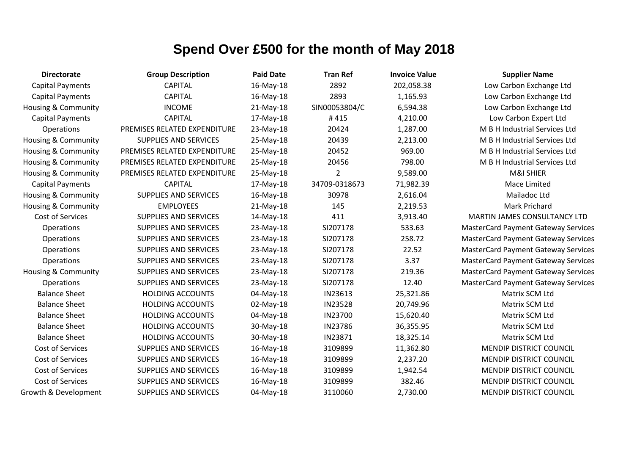| <b>Directorate</b>             | <b>Group Description</b>     | <b>Paid Date</b> | <b>Tran Ref</b> | <b>Invoice Value</b> | <b>Supplier Name</b>                       |
|--------------------------------|------------------------------|------------------|-----------------|----------------------|--------------------------------------------|
| <b>Capital Payments</b>        | <b>CAPITAL</b>               | 16-May-18        | 2892            | 202,058.38           | Low Carbon Exchange Ltd                    |
| <b>Capital Payments</b>        | <b>CAPITAL</b>               | 16-May-18        | 2893            | 1,165.93             | Low Carbon Exchange Ltd                    |
| Housing & Community            | <b>INCOME</b>                | $21-May-18$      | SIN00053804/C   | 6,594.38             | Low Carbon Exchange Ltd                    |
| <b>Capital Payments</b>        | <b>CAPITAL</b>               | 17-May-18        | #415            | 4,210.00             | Low Carbon Expert Ltd                      |
| Operations                     | PREMISES RELATED EXPENDITURE | 23-May-18        | 20424           | 1,287.00             | M B H Industrial Services Ltd              |
| <b>Housing &amp; Community</b> | <b>SUPPLIES AND SERVICES</b> | 25-May-18        | 20439           | 2,213.00             | M B H Industrial Services Ltd              |
| Housing & Community            | PREMISES RELATED EXPENDITURE | 25-May-18        | 20452           | 969.00               | M B H Industrial Services Ltd              |
| Housing & Community            | PREMISES RELATED EXPENDITURE | 25-May-18        | 20456           | 798.00               | M B H Industrial Services Ltd              |
| Housing & Community            | PREMISES RELATED EXPENDITURE | 25-May-18        | $\overline{2}$  | 9,589.00             | M&I SHIER                                  |
| <b>Capital Payments</b>        | <b>CAPITAL</b>               | 17-May-18        | 34709-0318673   | 71,982.39            | Mace Limited                               |
| Housing & Community            | <b>SUPPLIES AND SERVICES</b> | 16-May-18        | 30978           | 2,616.04             | Mailadoc Ltd                               |
| Housing & Community            | <b>EMPLOYEES</b>             | 21-May-18        | 145             | 2,219.53             | Mark Prichard                              |
| Cost of Services               | <b>SUPPLIES AND SERVICES</b> | 14-May-18        | 411             | 3,913.40             | MARTIN JAMES CONSULTANCY LTD               |
| Operations                     | <b>SUPPLIES AND SERVICES</b> | 23-May-18        | SI207178        | 533.63               | <b>MasterCard Payment Gateway Services</b> |
| Operations                     | <b>SUPPLIES AND SERVICES</b> | 23-May-18        | SI207178        | 258.72               | <b>MasterCard Payment Gateway Services</b> |
| Operations                     | <b>SUPPLIES AND SERVICES</b> | 23-May-18        | SI207178        | 22.52                | <b>MasterCard Payment Gateway Services</b> |
| Operations                     | <b>SUPPLIES AND SERVICES</b> | 23-May-18        | SI207178        | 3.37                 | <b>MasterCard Payment Gateway Services</b> |
| <b>Housing &amp; Community</b> | <b>SUPPLIES AND SERVICES</b> | 23-May-18        | SI207178        | 219.36               | <b>MasterCard Payment Gateway Services</b> |
| <b>Operations</b>              | <b>SUPPLIES AND SERVICES</b> | 23-May-18        | SI207178        | 12.40                | <b>MasterCard Payment Gateway Services</b> |
| <b>Balance Sheet</b>           | <b>HOLDING ACCOUNTS</b>      | 04-May-18        | IN23613         | 25,321.86            | Matrix SCM Ltd                             |
| <b>Balance Sheet</b>           | <b>HOLDING ACCOUNTS</b>      | 02-May-18        | <b>IN23528</b>  | 20,749.96            | Matrix SCM Ltd                             |
| <b>Balance Sheet</b>           | <b>HOLDING ACCOUNTS</b>      | 04-May-18        | IN23700         | 15,620.40            | Matrix SCM Ltd                             |
| <b>Balance Sheet</b>           | <b>HOLDING ACCOUNTS</b>      | 30-May-18        | IN23786         | 36,355.95            | Matrix SCM Ltd                             |
| <b>Balance Sheet</b>           | <b>HOLDING ACCOUNTS</b>      | 30-May-18        | IN23871         | 18,325.14            | Matrix SCM Ltd                             |
| <b>Cost of Services</b>        | <b>SUPPLIES AND SERVICES</b> | 16-May-18        | 3109899         | 11,362.80            | <b>MENDIP DISTRICT COUNCIL</b>             |
| Cost of Services               | <b>SUPPLIES AND SERVICES</b> | 16-May-18        | 3109899         | 2,237.20             | <b>MENDIP DISTRICT COUNCIL</b>             |
| Cost of Services               | <b>SUPPLIES AND SERVICES</b> | 16-May-18        | 3109899         | 1,942.54             | <b>MENDIP DISTRICT COUNCIL</b>             |
| Cost of Services               | <b>SUPPLIES AND SERVICES</b> | 16-May-18        | 3109899         | 382.46               | <b>MENDIP DISTRICT COUNCIL</b>             |
| Growth & Development           | <b>SUPPLIES AND SERVICES</b> | 04-May-18        | 3110060         | 2,730.00             | <b>MENDIP DISTRICT COUNCIL</b>             |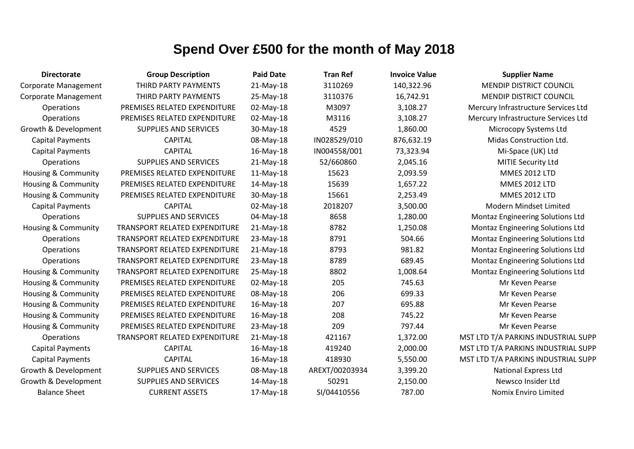| <b>Directorate</b>             | <b>Group Description</b>             | <b>Paid Date</b> | <b>Tran Ref</b> | <b>Invoice Value</b> | <b>Supplier Name</b>                    |
|--------------------------------|--------------------------------------|------------------|-----------------|----------------------|-----------------------------------------|
| <b>Corporate Management</b>    | THIRD PARTY PAYMENTS                 | $21-May-18$      | 3110269         | 140,322.96           | MENDIP DISTRICT COUNCIL                 |
| Corporate Management           | THIRD PARTY PAYMENTS                 | 25-May-18        | 3110376         | 16,742.91            | <b>MENDIP DISTRICT COUNCIL</b>          |
| <b>Operations</b>              | PREMISES RELATED EXPENDITURE         | 02-May-18        | M3097           | 3,108.27             | Mercury Infrastructure Services Ltd     |
| Operations                     | PREMISES RELATED EXPENDITURE         | 02-May-18        | M3116           | 3,108.27             | Mercury Infrastructure Services Ltd     |
| Growth & Development           | <b>SUPPLIES AND SERVICES</b>         | 30-May-18        | 4529            | 1,860.00             | Microcopy Systems Ltd                   |
| <b>Capital Payments</b>        | <b>CAPITAL</b>                       | 08-May-18        | IN028529/010    | 876,632.19           | Midas Construction Ltd.                 |
| <b>Capital Payments</b>        | <b>CAPITAL</b>                       | 16-May-18        | IN004558/001    | 73,323.94            | Mi-Space (UK) Ltd                       |
| Operations                     | <b>SUPPLIES AND SERVICES</b>         | $21-May-18$      | 52/660860       | 2,045.16             | MITIE Security Ltd                      |
| Housing & Community            | PREMISES RELATED EXPENDITURE         | 11-May-18        | 15623           | 2,093.59             | <b>MMES 2012 LTD</b>                    |
| Housing & Community            | PREMISES RELATED EXPENDITURE         | 14-May-18        | 15639           | 1,657.22             | <b>MMES 2012 LTD</b>                    |
| Housing & Community            | PREMISES RELATED EXPENDITURE         | 30-May-18        | 15661           | 2,253.49             | <b>MMES 2012 LTD</b>                    |
| <b>Capital Payments</b>        | <b>CAPITAL</b>                       | 02-May-18        | 2018207         | 3,500.00             | Modern Mindset Limited                  |
| Operations                     | <b>SUPPLIES AND SERVICES</b>         | 04-May-18        | 8658            | 1,280.00             | Montaz Engineering Solutions Ltd        |
| Housing & Community            | TRANSPORT RELATED EXPENDITURE        | $21-May-18$      | 8782            | 1,250.08             | <b>Montaz Engineering Solutions Ltd</b> |
| <b>Operations</b>              | TRANSPORT RELATED EXPENDITURE        | 23-May-18        | 8791            | 504.66               | Montaz Engineering Solutions Ltd        |
| Operations                     | TRANSPORT RELATED EXPENDITURE        | $21-May-18$      | 8793            | 981.82               | Montaz Engineering Solutions Ltd        |
| Operations                     | TRANSPORT RELATED EXPENDITURE        | 23-May-18        | 8789            | 689.45               | Montaz Engineering Solutions Ltd        |
| Housing & Community            | <b>TRANSPORT RELATED EXPENDITURE</b> | 25-May-18        | 8802            | 1,008.64             | Montaz Engineering Solutions Ltd        |
| Housing & Community            | PREMISES RELATED EXPENDITURE         | 02-May-18        | 205             | 745.63               | Mr Keven Pearse                         |
| Housing & Community            | PREMISES RELATED EXPENDITURE         | 08-May-18        | 206             | 699.33               | Mr Keven Pearse                         |
| Housing & Community            | PREMISES RELATED EXPENDITURE         | 16-May-18        | 207             | 695.88               | Mr Keven Pearse                         |
| <b>Housing &amp; Community</b> | PREMISES RELATED EXPENDITURE         | 16-May-18        | 208             | 745.22               | Mr Keven Pearse                         |
| Housing & Community            | PREMISES RELATED EXPENDITURE         | 23-May-18        | 209             | 797.44               | Mr Keven Pearse                         |
| Operations                     | TRANSPORT RELATED EXPENDITURE        | $21-May-18$      | 421167          | 1,372.00             | MST LTD T/A PARKINS INDUSTRIAL SUPP     |
| <b>Capital Payments</b>        | <b>CAPITAL</b>                       | 16-May-18        | 419240          | 2,000.00             | MST LTD T/A PARKINS INDUSTRIAL SUPP     |
| <b>Capital Payments</b>        | <b>CAPITAL</b>                       | 16-May-18        | 418930          | 5,550.00             | MST LTD T/A PARKINS INDUSTRIAL SUPP     |
| Growth & Development           | <b>SUPPLIES AND SERVICES</b>         | 08-May-18        | AREXT/00203934  | 3,399.20             | <b>National Express Ltd</b>             |
| Growth & Development           | <b>SUPPLIES AND SERVICES</b>         | 14-May-18        | 50291           | 2,150.00             | Newsco Insider Ltd                      |
| <b>Balance Sheet</b>           | <b>CURRENT ASSETS</b>                | 17-May-18        | SI/04410556     | 787.00               | <b>Nomix Enviro Limited</b>             |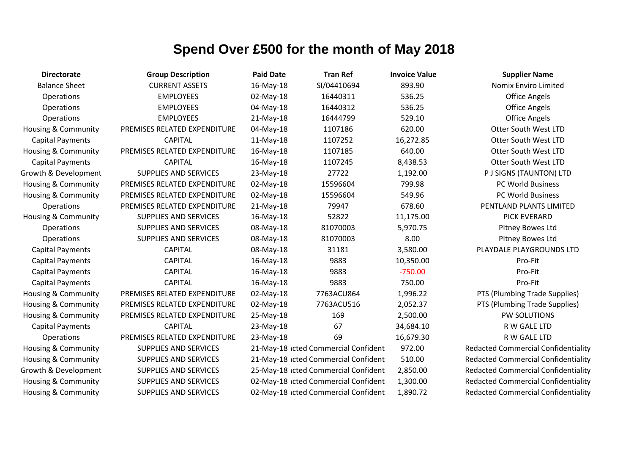| <b>Directorate</b>             | <b>Group Description</b>     | <b>Paid Date</b> | <b>Tran Ref</b>                      | <b>Invoice Value</b> | <b>Supplier Name</b>                       |
|--------------------------------|------------------------------|------------------|--------------------------------------|----------------------|--------------------------------------------|
| <b>Balance Sheet</b>           | <b>CURRENT ASSETS</b>        | 16-May-18        | SI/04410694                          | 893.90               | <b>Nomix Enviro Limited</b>                |
| Operations                     | <b>EMPLOYEES</b>             | 02-May-18        | 16440311                             | 536.25               | <b>Office Angels</b>                       |
| Operations                     | <b>EMPLOYEES</b>             | 04-May-18        | 16440312                             | 536.25               | <b>Office Angels</b>                       |
| Operations                     | <b>EMPLOYEES</b>             | $21-May-18$      | 16444799                             | 529.10               | <b>Office Angels</b>                       |
| Housing & Community            | PREMISES RELATED EXPENDITURE | 04-May-18        | 1107186                              | 620.00               | <b>Otter South West LTD</b>                |
| <b>Capital Payments</b>        | <b>CAPITAL</b>               | 11-May-18        | 1107252                              | 16,272.85            | <b>Otter South West LTD</b>                |
| Housing & Community            | PREMISES RELATED EXPENDITURE | 16-May-18        | 1107185                              | 640.00               | <b>Otter South West LTD</b>                |
| <b>Capital Payments</b>        | <b>CAPITAL</b>               | 16-May-18        | 1107245                              | 8,438.53             | <b>Otter South West LTD</b>                |
| Growth & Development           | <b>SUPPLIES AND SERVICES</b> | 23-May-18        | 27722                                | 1,192.00             | P J SIGNS (TAUNTON) LTD                    |
| Housing & Community            | PREMISES RELATED EXPENDITURE | 02-May-18        | 15596604                             | 799.98               | PC World Business                          |
| <b>Housing &amp; Community</b> | PREMISES RELATED EXPENDITURE | 02-May-18        | 15596604                             | 549.96               | PC World Business                          |
| <b>Operations</b>              | PREMISES RELATED EXPENDITURE | 21-May-18        | 79947                                | 678.60               | PENTLAND PLANTS LIMITED                    |
| <b>Housing &amp; Community</b> | SUPPLIES AND SERVICES        | 16-May-18        | 52822                                | 11,175.00            | PICK EVERARD                               |
| Operations                     | <b>SUPPLIES AND SERVICES</b> | 08-May-18        | 81070003                             | 5,970.75             | Pitney Bowes Ltd                           |
| Operations                     | SUPPLIES AND SERVICES        | 08-May-18        | 81070003                             | 8.00                 | Pitney Bowes Ltd                           |
| <b>Capital Payments</b>        | <b>CAPITAL</b>               | 08-May-18        | 31181                                | 3,580.00             | PLAYDALE PLAYGROUNDS LTD                   |
| <b>Capital Payments</b>        | <b>CAPITAL</b>               | 16-May-18        | 9883                                 | 10,350.00            | Pro-Fit                                    |
| <b>Capital Payments</b>        | <b>CAPITAL</b>               | 16-May-18        | 9883                                 | $-750.00$            | Pro-Fit                                    |
| <b>Capital Payments</b>        | <b>CAPITAL</b>               | 16-May-18        | 9883                                 | 750.00               | Pro-Fit                                    |
| <b>Housing &amp; Community</b> | PREMISES RELATED EXPENDITURE | 02-May-18        | 7763ACU864                           | 1,996.22             | PTS (Plumbing Trade Supplies)              |
| Housing & Community            | PREMISES RELATED EXPENDITURE | 02-May-18        | 7763ACU516                           | 2,052.37             | PTS (Plumbing Trade Supplies)              |
| <b>Housing &amp; Community</b> | PREMISES RELATED EXPENDITURE | 25-May-18        | 169                                  | 2,500.00             | PW SOLUTIONS                               |
| <b>Capital Payments</b>        | <b>CAPITAL</b>               | 23-May-18        | 67                                   | 34,684.10            | R W GALE LTD                               |
| Operations                     | PREMISES RELATED EXPENDITURE | 23-May-18        | 69                                   | 16,679.30            | R W GALE LTD                               |
| Housing & Community            | SUPPLIES AND SERVICES        |                  | 21-May-18 icted Commercial Confident | 972.00               | <b>Redacted Commercial Confidentiality</b> |
| Housing & Community            | SUPPLIES AND SERVICES        |                  | 21-May-18 icted Commercial Confident | 510.00               | <b>Redacted Commercial Confidentiality</b> |
| Growth & Development           | SUPPLIES AND SERVICES        |                  | 25-May-18 icted Commercial Confident | 2,850.00             | <b>Redacted Commercial Confidentiality</b> |
| <b>Housing &amp; Community</b> | SUPPLIES AND SERVICES        |                  | 02-May-18 icted Commercial Confident | 1,300.00             | <b>Redacted Commercial Confidentiality</b> |
| <b>Housing &amp; Community</b> | <b>SUPPLIES AND SERVICES</b> |                  | 02-May-18 icted Commercial Confident | 1,890.72             | <b>Redacted Commercial Confidentiality</b> |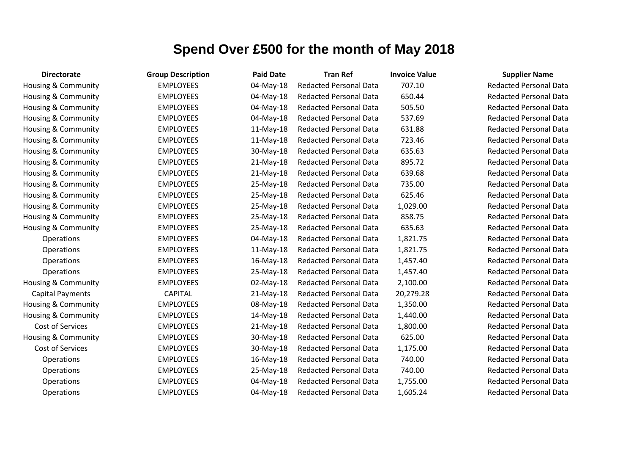| <b>Directorate</b>             | <b>Group Description</b> | <b>Paid Date</b> | <b>Tran Ref</b>               | <b>Invoice Value</b> | <b>Supplier Name</b>     |
|--------------------------------|--------------------------|------------------|-------------------------------|----------------------|--------------------------|
| Housing & Community            | <b>EMPLOYEES</b>         | 04-May-18        | <b>Redacted Personal Data</b> | 707.10               | <b>Redacted Personal</b> |
| Housing & Community            | <b>EMPLOYEES</b>         | 04-May-18        | <b>Redacted Personal Data</b> | 650.44               | <b>Redacted Personal</b> |
| <b>Housing &amp; Community</b> | <b>EMPLOYEES</b>         | 04-May-18        | <b>Redacted Personal Data</b> | 505.50               | <b>Redacted Personal</b> |
| Housing & Community            | <b>EMPLOYEES</b>         | 04-May-18        | <b>Redacted Personal Data</b> | 537.69               | <b>Redacted Personal</b> |
| <b>Housing &amp; Community</b> | <b>EMPLOYEES</b>         | 11-May-18        | <b>Redacted Personal Data</b> | 631.88               | <b>Redacted Personal</b> |
| <b>Housing &amp; Community</b> | <b>EMPLOYEES</b>         | 11-May-18        | <b>Redacted Personal Data</b> | 723.46               | Redacted Personal        |
| Housing & Community            | <b>EMPLOYEES</b>         | 30-May-18        | <b>Redacted Personal Data</b> | 635.63               | <b>Redacted Personal</b> |
| Housing & Community            | <b>EMPLOYEES</b>         | 21-May-18        | <b>Redacted Personal Data</b> | 895.72               | <b>Redacted Personal</b> |
| <b>Housing &amp; Community</b> | <b>EMPLOYEES</b>         | $21-May-18$      | <b>Redacted Personal Data</b> | 639.68               | <b>Redacted Personal</b> |
| Housing & Community            | <b>EMPLOYEES</b>         | 25-May-18        | <b>Redacted Personal Data</b> | 735.00               | <b>Redacted Personal</b> |
| Housing & Community            | <b>EMPLOYEES</b>         | 25-May-18        | <b>Redacted Personal Data</b> | 625.46               | <b>Redacted Personal</b> |
| Housing & Community            | <b>EMPLOYEES</b>         | 25-May-18        | <b>Redacted Personal Data</b> | 1,029.00             | <b>Redacted Personal</b> |
| <b>Housing &amp; Community</b> | <b>EMPLOYEES</b>         | 25-May-18        | <b>Redacted Personal Data</b> | 858.75               | <b>Redacted Personal</b> |
| Housing & Community            | <b>EMPLOYEES</b>         | 25-May-18        | <b>Redacted Personal Data</b> | 635.63               | <b>Redacted Personal</b> |
| Operations                     | <b>EMPLOYEES</b>         | 04-May-18        | <b>Redacted Personal Data</b> | 1,821.75             | <b>Redacted Personal</b> |
| Operations                     | <b>EMPLOYEES</b>         | $11-May-18$      | <b>Redacted Personal Data</b> | 1,821.75             | <b>Redacted Personal</b> |
| Operations                     | <b>EMPLOYEES</b>         | 16-May-18        | <b>Redacted Personal Data</b> | 1,457.40             | <b>Redacted Personal</b> |
| Operations                     | <b>EMPLOYEES</b>         | 25-May-18        | <b>Redacted Personal Data</b> | 1,457.40             | <b>Redacted Personal</b> |
| <b>Housing &amp; Community</b> | <b>EMPLOYEES</b>         | 02-May-18        | <b>Redacted Personal Data</b> | 2,100.00             | <b>Redacted Personal</b> |
| <b>Capital Payments</b>        | <b>CAPITAL</b>           | 21-May-18        | <b>Redacted Personal Data</b> | 20,279.28            | <b>Redacted Personal</b> |
| <b>Housing &amp; Community</b> | <b>EMPLOYEES</b>         | 08-May-18        | <b>Redacted Personal Data</b> | 1,350.00             | <b>Redacted Personal</b> |
| Housing & Community            | <b>EMPLOYEES</b>         | 14-May-18        | <b>Redacted Personal Data</b> | 1,440.00             | <b>Redacted Personal</b> |
| Cost of Services               | <b>EMPLOYEES</b>         | $21-May-18$      | <b>Redacted Personal Data</b> | 1,800.00             | Redacted Personal        |
| <b>Housing &amp; Community</b> | <b>EMPLOYEES</b>         | 30-May-18        | <b>Redacted Personal Data</b> | 625.00               | <b>Redacted Personal</b> |
| Cost of Services               | <b>EMPLOYEES</b>         | 30-May-18        | <b>Redacted Personal Data</b> | 1,175.00             | <b>Redacted Personal</b> |
| Operations                     | <b>EMPLOYEES</b>         | 16-May-18        | <b>Redacted Personal Data</b> | 740.00               | <b>Redacted Personal</b> |
| Operations                     | <b>EMPLOYEES</b>         | 25-May-18        | <b>Redacted Personal Data</b> | 740.00               | <b>Redacted Personal</b> |
| Operations                     | <b>EMPLOYEES</b>         | 04-May-18        | <b>Redacted Personal Data</b> | 1,755.00             | <b>Redacted Personal</b> |
| Operations                     | <b>EMPLOYEES</b>         | 04-May-18        | <b>Redacted Personal Data</b> | 1,605.24             | <b>Redacted Personal</b> |

Redacted Personal Data Redacted Personal Data Redacted Personal Data Redacted Personal Data Redacted Personal Data Redacted Personal Data Redacted Personal Data Redacted Personal Data Redacted Personal Data Redacted Personal Data Redacted Personal Data Redacted Personal Data Redacted Personal Data Redacted Personal Data Redacted Personal Data **Redacted Personal Data** Redacted Personal Data **Redacted Personal Data** Redacted Personal Data Redacted Personal Data Redacted Personal Data Redacted Personal Data Redacted Personal Data Redacted Personal Data Redacted Personal Data Redacted Personal Data **Redacted Personal Data** Redacted Personal Data Redacted Personal Data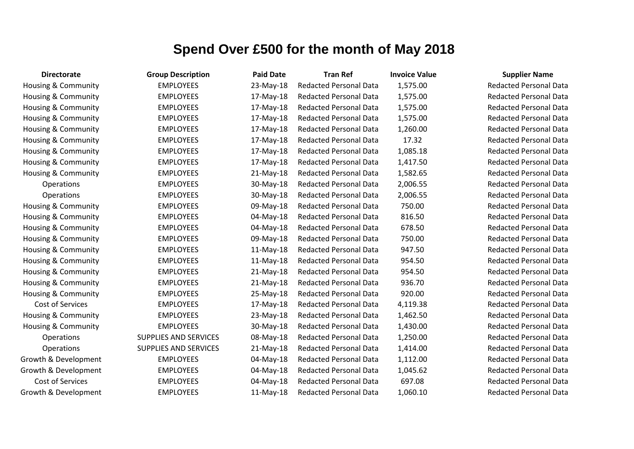| <b>Directorate</b>             | <b>Group Description</b>     | <b>Paid Date</b> | <b>Tran Ref</b>               | <b>Invoice Value</b> | <b>Supplier Name</b>     |
|--------------------------------|------------------------------|------------------|-------------------------------|----------------------|--------------------------|
| Housing & Community            | <b>EMPLOYEES</b>             | 23-May-18        | <b>Redacted Personal Data</b> | 1,575.00             | <b>Redacted Personal</b> |
| Housing & Community            | <b>EMPLOYEES</b>             | 17-May-18        | <b>Redacted Personal Data</b> | 1,575.00             | <b>Redacted Personal</b> |
| Housing & Community            | <b>EMPLOYEES</b>             | 17-May-18        | <b>Redacted Personal Data</b> | 1,575.00             | <b>Redacted Personal</b> |
| Housing & Community            | <b>EMPLOYEES</b>             | 17-May-18        | <b>Redacted Personal Data</b> | 1,575.00             | <b>Redacted Personal</b> |
| Housing & Community            | <b>EMPLOYEES</b>             | 17-May-18        | <b>Redacted Personal Data</b> | 1,260.00             | <b>Redacted Personal</b> |
| Housing & Community            | <b>EMPLOYEES</b>             | 17-May-18        | <b>Redacted Personal Data</b> | 17.32                | <b>Redacted Personal</b> |
| Housing & Community            | <b>EMPLOYEES</b>             | 17-May-18        | <b>Redacted Personal Data</b> | 1,085.18             | <b>Redacted Personal</b> |
| Housing & Community            | <b>EMPLOYEES</b>             | 17-May-18        | <b>Redacted Personal Data</b> | 1,417.50             | <b>Redacted Personal</b> |
| <b>Housing &amp; Community</b> | <b>EMPLOYEES</b>             | $21-May-18$      | <b>Redacted Personal Data</b> | 1,582.65             | <b>Redacted Personal</b> |
| Operations                     | <b>EMPLOYEES</b>             | 30-May-18        | <b>Redacted Personal Data</b> | 2,006.55             | <b>Redacted Personal</b> |
| Operations                     | <b>EMPLOYEES</b>             | 30-May-18        | <b>Redacted Personal Data</b> | 2,006.55             | Redacted Personal        |
| Housing & Community            | <b>EMPLOYEES</b>             | 09-May-18        | <b>Redacted Personal Data</b> | 750.00               | <b>Redacted Personal</b> |
| Housing & Community            | <b>EMPLOYEES</b>             | 04-May-18        | <b>Redacted Personal Data</b> | 816.50               | <b>Redacted Personal</b> |
| Housing & Community            | <b>EMPLOYEES</b>             | 04-May-18        | <b>Redacted Personal Data</b> | 678.50               | <b>Redacted Personal</b> |
| Housing & Community            | <b>EMPLOYEES</b>             | 09-May-18        | <b>Redacted Personal Data</b> | 750.00               | <b>Redacted Personal</b> |
| Housing & Community            | <b>EMPLOYEES</b>             | $11-May-18$      | <b>Redacted Personal Data</b> | 947.50               | <b>Redacted Personal</b> |
| Housing & Community            | <b>EMPLOYEES</b>             | 11-May-18        | <b>Redacted Personal Data</b> | 954.50               | <b>Redacted Personal</b> |
| Housing & Community            | <b>EMPLOYEES</b>             | $21-May-18$      | <b>Redacted Personal Data</b> | 954.50               | <b>Redacted Personal</b> |
| Housing & Community            | <b>EMPLOYEES</b>             | 21-May-18        | <b>Redacted Personal Data</b> | 936.70               | <b>Redacted Personal</b> |
| Housing & Community            | <b>EMPLOYEES</b>             | 25-May-18        | <b>Redacted Personal Data</b> | 920.00               | <b>Redacted Personal</b> |
| Cost of Services               | <b>EMPLOYEES</b>             | 17-May-18        | <b>Redacted Personal Data</b> | 4,119.38             | <b>Redacted Personal</b> |
| Housing & Community            | <b>EMPLOYEES</b>             | 23-May-18        | <b>Redacted Personal Data</b> | 1,462.50             | <b>Redacted Personal</b> |
| Housing & Community            | <b>EMPLOYEES</b>             | 30-May-18        | <b>Redacted Personal Data</b> | 1,430.00             | <b>Redacted Personal</b> |
| Operations                     | <b>SUPPLIES AND SERVICES</b> | 08-May-18        | <b>Redacted Personal Data</b> | 1,250.00             | <b>Redacted Personal</b> |
| <b>Operations</b>              | SUPPLIES AND SERVICES        | 21-May-18        | <b>Redacted Personal Data</b> | 1,414.00             | <b>Redacted Personal</b> |
| Growth & Development           | <b>EMPLOYEES</b>             | 04-May-18        | <b>Redacted Personal Data</b> | 1,112.00             | <b>Redacted Personal</b> |
| Growth & Development           | <b>EMPLOYEES</b>             | 04-May-18        | <b>Redacted Personal Data</b> | 1,045.62             | <b>Redacted Personal</b> |
| Cost of Services               | <b>EMPLOYEES</b>             | 04-May-18        | <b>Redacted Personal Data</b> | 697.08               | <b>Redacted Personal</b> |
| Growth & Development           | <b>EMPLOYEES</b>             | 11-May-18        | <b>Redacted Personal Data</b> | 1,060.10             | <b>Redacted Personal</b> |

Redacted Personal Data Redacted Personal Data Redacted Personal Data Redacted Personal Data Redacted Personal Data Redacted Personal Data Redacted Personal Data Redacted Personal Data Redacted Personal Data **Redacted Personal Data Redacted Personal Data** Redacted Personal Data Redacted Personal Data Redacted Personal Data Redacted Personal Data Redacted Personal Data Redacted Personal Data Redacted Personal Data Redacted Personal Data Redacted Personal Data Redacted Personal Data Redacted Personal Data Redacted Personal Data Redacted Personal Data **Redacted Personal Data** Redacted Personal Data **Redacted Personal Data** Redacted Personal Data **Redacted Personal Data**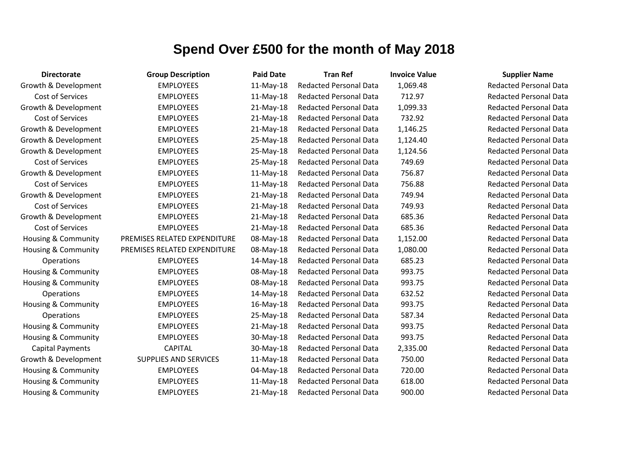| <b>Directorate</b>             | <b>Group Description</b>     | <b>Paid Date</b> | <b>Tran Ref</b>               | <b>Invoice Value</b> | <b>Supplier Name</b>     |
|--------------------------------|------------------------------|------------------|-------------------------------|----------------------|--------------------------|
| Growth & Development           | <b>EMPLOYEES</b>             | $11-May-18$      | <b>Redacted Personal Data</b> | 1,069.48             | <b>Redacted Personal</b> |
| Cost of Services               | <b>EMPLOYEES</b>             | $11-May-18$      | <b>Redacted Personal Data</b> | 712.97               | <b>Redacted Personal</b> |
| Growth & Development           | <b>EMPLOYEES</b>             | $21-May-18$      | Redacted Personal Data        | 1,099.33             | <b>Redacted Personal</b> |
| Cost of Services               | <b>EMPLOYEES</b>             | $21-May-18$      | <b>Redacted Personal Data</b> | 732.92               | <b>Redacted Personal</b> |
| Growth & Development           | <b>EMPLOYEES</b>             | $21-May-18$      | <b>Redacted Personal Data</b> | 1,146.25             | <b>Redacted Personal</b> |
| Growth & Development           | <b>EMPLOYEES</b>             | 25-May-18        | <b>Redacted Personal Data</b> | 1,124.40             | <b>Redacted Personal</b> |
| Growth & Development           | <b>EMPLOYEES</b>             | 25-May-18        | <b>Redacted Personal Data</b> | 1,124.56             | <b>Redacted Personal</b> |
| Cost of Services               | <b>EMPLOYEES</b>             | 25-May-18        | <b>Redacted Personal Data</b> | 749.69               | <b>Redacted Personal</b> |
| Growth & Development           | <b>EMPLOYEES</b>             | 11-May-18        | <b>Redacted Personal Data</b> | 756.87               | <b>Redacted Personal</b> |
| Cost of Services               | <b>EMPLOYEES</b>             | $11-May-18$      | <b>Redacted Personal Data</b> | 756.88               | <b>Redacted Personal</b> |
| Growth & Development           | <b>EMPLOYEES</b>             | $21-May-18$      | <b>Redacted Personal Data</b> | 749.94               | <b>Redacted Personal</b> |
| Cost of Services               | <b>EMPLOYEES</b>             | $21-May-18$      | <b>Redacted Personal Data</b> | 749.93               | <b>Redacted Personal</b> |
| Growth & Development           | <b>EMPLOYEES</b>             | $21-May-18$      | <b>Redacted Personal Data</b> | 685.36               | <b>Redacted Personal</b> |
| Cost of Services               | <b>EMPLOYEES</b>             | $21-May-18$      | <b>Redacted Personal Data</b> | 685.36               | <b>Redacted Personal</b> |
| Housing & Community            | PREMISES RELATED EXPENDITURE | 08-May-18        | <b>Redacted Personal Data</b> | 1,152.00             | <b>Redacted Personal</b> |
| Housing & Community            | PREMISES RELATED EXPENDITURE | 08-May-18        | <b>Redacted Personal Data</b> | 1,080.00             | <b>Redacted Personal</b> |
| Operations                     | <b>EMPLOYEES</b>             | 14-May-18        | <b>Redacted Personal Data</b> | 685.23               | <b>Redacted Personal</b> |
| Housing & Community            | <b>EMPLOYEES</b>             | 08-May-18        | Redacted Personal Data        | 993.75               | <b>Redacted Personal</b> |
| Housing & Community            | <b>EMPLOYEES</b>             | 08-May-18        | <b>Redacted Personal Data</b> | 993.75               | <b>Redacted Personal</b> |
| Operations                     | <b>EMPLOYEES</b>             | 14-May-18        | <b>Redacted Personal Data</b> | 632.52               | <b>Redacted Personal</b> |
| <b>Housing &amp; Community</b> | <b>EMPLOYEES</b>             | 16-May-18        | <b>Redacted Personal Data</b> | 993.75               | <b>Redacted Personal</b> |
| Operations                     | <b>EMPLOYEES</b>             | 25-May-18        | <b>Redacted Personal Data</b> | 587.34               | <b>Redacted Personal</b> |
| Housing & Community            | <b>EMPLOYEES</b>             | $21-May-18$      | <b>Redacted Personal Data</b> | 993.75               | <b>Redacted Personal</b> |
| Housing & Community            | <b>EMPLOYEES</b>             | 30-May-18        | <b>Redacted Personal Data</b> | 993.75               | <b>Redacted Personal</b> |
| <b>Capital Payments</b>        | <b>CAPITAL</b>               | 30-May-18        | <b>Redacted Personal Data</b> | 2,335.00             | <b>Redacted Personal</b> |
| Growth & Development           | <b>SUPPLIES AND SERVICES</b> | 11-May-18        | <b>Redacted Personal Data</b> | 750.00               | <b>Redacted Personal</b> |
| Housing & Community            | <b>EMPLOYEES</b>             | 04-May-18        | <b>Redacted Personal Data</b> | 720.00               | <b>Redacted Personal</b> |
| Housing & Community            | <b>EMPLOYEES</b>             | $11-May-18$      | <b>Redacted Personal Data</b> | 618.00               | <b>Redacted Personal</b> |
| Housing & Community            | <b>EMPLOYEES</b>             | $21-May-18$      | <b>Redacted Personal Data</b> | 900.00               | <b>Redacted Personal</b> |

**Redacted Personal Data Redacted Personal Data** Redacted Personal Data Redacted Personal Data **Redacted Personal Data Redacted Personal Data Redacted Personal Data Redacted Personal Data Redacted Personal Data** Redacted Personal Data **Redacted Personal Data Redacted Personal Data Bedacted Personal Data** Redacted Personal Data Redacted Personal Data Redacted Personal Data **Redacted Personal Data** Redacted Personal Data Redacted Personal Data **Redacted Personal Data** Redacted Personal Data **Redacted Personal Data** Redacted Personal Data Redacted Personal Data Redacted Personal Data Redacted Personal Data Redacted Personal Data Redacted Personal Data Redacted Personal Data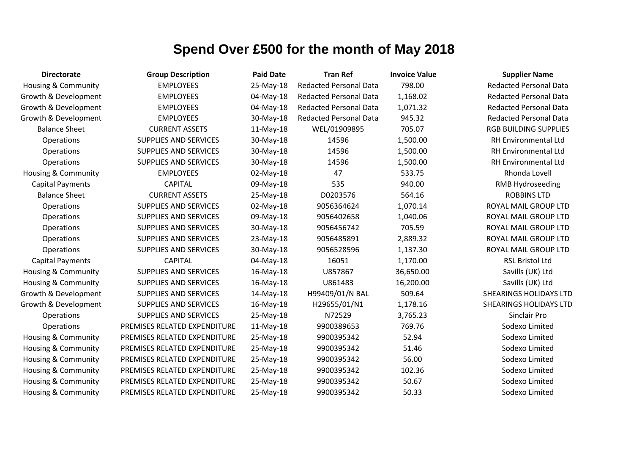| <b>Directorate</b>             | <b>Group Description</b>     | <b>Paid Date</b> | <b>Tran Ref</b>               | <b>Invoice Value</b> | <b>Supplier Name</b>          |
|--------------------------------|------------------------------|------------------|-------------------------------|----------------------|-------------------------------|
| Housing & Community            | <b>EMPLOYEES</b>             | 25-May-18        | <b>Redacted Personal Data</b> | 798.00               | <b>Redacted Personal Data</b> |
| Growth & Development           | <b>EMPLOYEES</b>             | 04-May-18        | <b>Redacted Personal Data</b> | 1,168.02             | <b>Redacted Personal Data</b> |
| Growth & Development           | <b>EMPLOYEES</b>             | 04-May-18        | <b>Redacted Personal Data</b> | 1,071.32             | <b>Redacted Personal Data</b> |
| Growth & Development           | <b>EMPLOYEES</b>             | 30-May-18        | <b>Redacted Personal Data</b> | 945.32               | <b>Redacted Personal Data</b> |
| <b>Balance Sheet</b>           | <b>CURRENT ASSETS</b>        | $11-May-18$      | WEL/01909895                  | 705.07               | <b>RGB BUILDING SUPPLIES</b>  |
| Operations                     | SUPPLIES AND SERVICES        | 30-May-18        | 14596                         | 1,500.00             | <b>RH Environmental Ltd</b>   |
| Operations                     | <b>SUPPLIES AND SERVICES</b> | 30-May-18        | 14596                         | 1,500.00             | RH Environmental Ltd          |
| Operations                     | <b>SUPPLIES AND SERVICES</b> | 30-May-18        | 14596                         | 1,500.00             | <b>RH Environmental Ltd</b>   |
| Housing & Community            | <b>EMPLOYEES</b>             | 02-May-18        | 47                            | 533.75               | Rhonda Lovell                 |
| <b>Capital Payments</b>        | <b>CAPITAL</b>               | 09-May-18        | 535                           | 940.00               | <b>RMB Hydroseeding</b>       |
| <b>Balance Sheet</b>           | <b>CURRENT ASSETS</b>        | 25-May-18        | D0203576                      | 564.16               | <b>ROBBINS LTD</b>            |
| Operations                     | <b>SUPPLIES AND SERVICES</b> | 02-May-18        | 9056364624                    | 1,070.14             | ROYAL MAIL GROUP LTD          |
| Operations                     | SUPPLIES AND SERVICES        | 09-May-18        | 9056402658                    | 1,040.06             | ROYAL MAIL GROUP LTD          |
| Operations                     | <b>SUPPLIES AND SERVICES</b> | 30-May-18        | 9056456742                    | 705.59               | ROYAL MAIL GROUP LTD          |
| Operations                     | <b>SUPPLIES AND SERVICES</b> | 23-May-18        | 9056485891                    | 2,889.32             | ROYAL MAIL GROUP LTD          |
| Operations                     | <b>SUPPLIES AND SERVICES</b> | 30-May-18        | 9056528596                    | 1,137.30             | ROYAL MAIL GROUP LTD          |
| <b>Capital Payments</b>        | <b>CAPITAL</b>               | 04-May-18        | 16051                         | 1,170.00             | <b>RSL Bristol Ltd</b>        |
| Housing & Community            | <b>SUPPLIES AND SERVICES</b> | 16-May-18        | U857867                       | 36,650.00            | Savills (UK) Ltd              |
| <b>Housing &amp; Community</b> | <b>SUPPLIES AND SERVICES</b> | 16-May-18        | U861483                       | 16,200.00            | Savills (UK) Ltd              |
| Growth & Development           | SUPPLIES AND SERVICES        | 14-May-18        | H99409/01/N BAL               | 509.64               | <b>SHEARINGS HOLIDAYS LTD</b> |
| Growth & Development           | SUPPLIES AND SERVICES        | 16-May-18        | H29655/01/N1                  | 1,178.16             | SHEARINGS HOLIDAYS LTD        |
| Operations                     | SUPPLIES AND SERVICES        | 25-May-18        | N72529                        | 3,765.23             | Sinclair Pro                  |
| Operations                     | PREMISES RELATED EXPENDITURE | $11-May-18$      | 9900389653                    | 769.76               | Sodexo Limited                |
| Housing & Community            | PREMISES RELATED EXPENDITURE | 25-May-18        | 9900395342                    | 52.94                | Sodexo Limited                |
| Housing & Community            | PREMISES RELATED EXPENDITURE | 25-May-18        | 9900395342                    | 51.46                | Sodexo Limited                |
| Housing & Community            | PREMISES RELATED EXPENDITURE | 25-May-18        | 9900395342                    | 56.00                | Sodexo Limited                |
| Housing & Community            | PREMISES RELATED EXPENDITURE | 25-May-18        | 9900395342                    | 102.36               | Sodexo Limited                |
| Housing & Community            | PREMISES RELATED EXPENDITURE | 25-May-18        | 9900395342                    | 50.67                | Sodexo Limited                |
| Housing & Community            | PREMISES RELATED EXPENDITURE | 25-May-18        | 9900395342                    | 50.33                | Sodexo Limited                |

# **RGB BUILDING SUPPLIES** RH Environmental Ltd **RH Environmental Ltd** RMB Hydroseeding ROYAL MAIL GROUP LTD ROYAL MAIL GROUP LTD ROYAL MAIL GROUP LTD ROYAL MAIL GROUP LTD ROYAL MAIL GROUP LTD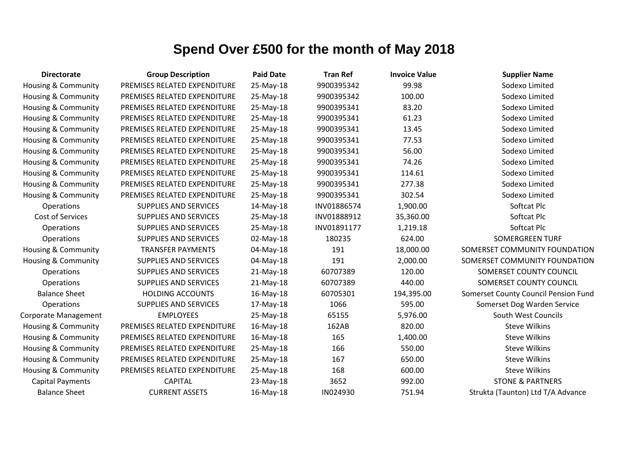| <b>Directorate</b>             | <b>Group Description</b>     | <b>Paid Date</b> | <b>Tran Ref</b> | <b>Invoice Value</b> | <b>Supplier Name</b>                 |
|--------------------------------|------------------------------|------------------|-----------------|----------------------|--------------------------------------|
| <b>Housing &amp; Community</b> | PREMISES RELATED EXPENDITURE | 25-May-18        | 9900395342      | 99.98                | Sodexo Limited                       |
| Housing & Community            | PREMISES RELATED EXPENDITURE | 25-May-18        | 9900395342      | 100.00               | Sodexo Limited                       |
| Housing & Community            | PREMISES RELATED EXPENDITURE | 25-May-18        | 9900395341      | 83.20                | Sodexo Limited                       |
| Housing & Community            | PREMISES RELATED EXPENDITURE | 25-May-18        | 9900395341      | 61.23                | Sodexo Limited                       |
| Housing & Community            | PREMISES RELATED EXPENDITURE | 25-May-18        | 9900395341      | 13.45                | Sodexo Limited                       |
| <b>Housing &amp; Community</b> | PREMISES RELATED EXPENDITURE | 25-May-18        | 9900395341      | 77.53                | Sodexo Limited                       |
| Housing & Community            | PREMISES RELATED EXPENDITURE | 25-May-18        | 9900395341      | 56.00                | Sodexo Limited                       |
| Housing & Community            | PREMISES RELATED EXPENDITURE | 25-May-18        | 9900395341      | 74.26                | Sodexo Limited                       |
| Housing & Community            | PREMISES RELATED EXPENDITURE | 25-May-18        | 9900395341      | 114.61               | Sodexo Limited                       |
| Housing & Community            | PREMISES RELATED EXPENDITURE | 25-May-18        | 9900395341      | 277.38               | Sodexo Limited                       |
| Housing & Community            | PREMISES RELATED EXPENDITURE | 25-May-18        | 9900395341      | 302.54               | Sodexo Limited                       |
| Operations                     | <b>SUPPLIES AND SERVICES</b> | 14-May-18        | INV01886574     | 1,900.00             | Softcat Plc                          |
| Cost of Services               | SUPPLIES AND SERVICES        | 25-May-18        | INV01888912     | 35,360.00            | Softcat Plc                          |
| Operations                     | SUPPLIES AND SERVICES        | 25-May-18        | INV01891177     | 1,219.18             | Softcat Plc                          |
| Operations                     | <b>SUPPLIES AND SERVICES</b> | 02-May-18        | 180235          | 624.00               | <b>SOMERGREEN TURF</b>               |
| <b>Housing &amp; Community</b> | <b>TRANSFER PAYMENTS</b>     | 04-May-18        | 191             | 18,000.00            | SOMERSET COMMUNITY FOUNDATION        |
| Housing & Community            | <b>SUPPLIES AND SERVICES</b> | 04-May-18        | 191             | 2,000.00             | SOMERSET COMMUNITY FOUNDATION        |
| Operations                     | <b>SUPPLIES AND SERVICES</b> | 21-May-18        | 60707389        | 120.00               | SOMERSET COUNTY COUNCIL              |
| Operations                     | <b>SUPPLIES AND SERVICES</b> | 21-May-18        | 60707389        | 440.00               | SOMERSET COUNTY COUNCIL              |
| <b>Balance Sheet</b>           | <b>HOLDING ACCOUNTS</b>      | 16-May-18        | 60705301        | 194,395.00           | Somerset County Council Pension Fund |
| Operations                     | <b>SUPPLIES AND SERVICES</b> | 17-May-18        | 1066            | 595.00               | Somerset Dog Warden Service          |
| Corporate Management           | <b>EMPLOYEES</b>             | 25-May-18        | 65155           | 5,976.00             | South West Councils                  |
| Housing & Community            | PREMISES RELATED EXPENDITURE | 16-May-18        | 162AB           | 820.00               | <b>Steve Wilkins</b>                 |
| Housing & Community            | PREMISES RELATED EXPENDITURE | 16-May-18        | 165             | 1,400.00             | <b>Steve Wilkins</b>                 |
| Housing & Community            | PREMISES RELATED EXPENDITURE | 25-May-18        | 166             | 550.00               | <b>Steve Wilkins</b>                 |
| <b>Housing &amp; Community</b> | PREMISES RELATED EXPENDITURE | 25-May-18        | 167             | 650.00               | <b>Steve Wilkins</b>                 |
| Housing & Community            | PREMISES RELATED EXPENDITURE | 25-May-18        | 168             | 600.00               | <b>Steve Wilkins</b>                 |
| <b>Capital Payments</b>        | <b>CAPITAL</b>               | 23-May-18        | 3652            | 992.00               | <b>STONE &amp; PARTNERS</b>          |
| <b>Balance Sheet</b>           | <b>CURRENT ASSETS</b>        | 16-May-18        | IN024930        | 751.94               | Strukta (Taunton) Ltd T/A Advance    |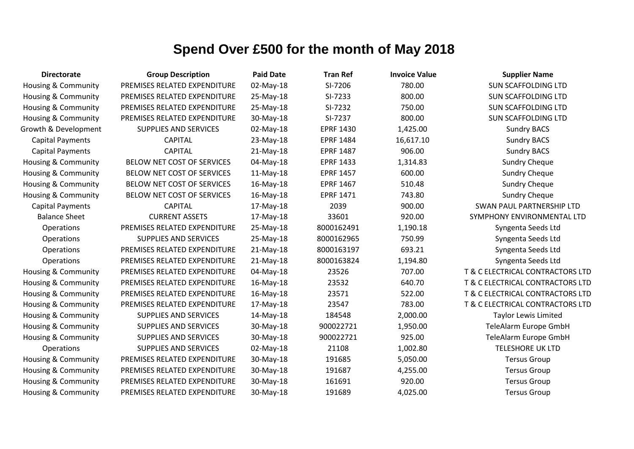| <b>Directorate</b>             | <b>Group Description</b>     | <b>Paid Date</b> | <b>Tran Ref</b>  | <b>Invoice Value</b> | <b>Supplier Name</b>             |
|--------------------------------|------------------------------|------------------|------------------|----------------------|----------------------------------|
| Housing & Community            | PREMISES RELATED EXPENDITURE | 02-May-18        | SI-7206          | 780.00               | <b>SUN SCAFFOLDING LTD</b>       |
| Housing & Community            | PREMISES RELATED EXPENDITURE | 25-May-18        | SI-7233          | 800.00               | <b>SUN SCAFFOLDING LTD</b>       |
| Housing & Community            | PREMISES RELATED EXPENDITURE | 25-May-18        | SI-7232          | 750.00               | <b>SUN SCAFFOLDING LTD</b>       |
| <b>Housing &amp; Community</b> | PREMISES RELATED EXPENDITURE | 30-May-18        | SI-7237          | 800.00               | <b>SUN SCAFFOLDING LTD</b>       |
| Growth & Development           | <b>SUPPLIES AND SERVICES</b> | 02-May-18        | <b>EPRF 1430</b> | 1,425.00             | <b>Sundry BACS</b>               |
| <b>Capital Payments</b>        | <b>CAPITAL</b>               | 23-May-18        | <b>EPRF 1484</b> | 16,617.10            | <b>Sundry BACS</b>               |
| <b>Capital Payments</b>        | <b>CAPITAL</b>               | 21-May-18        | <b>EPRF 1487</b> | 906.00               | <b>Sundry BACS</b>               |
| Housing & Community            | BELOW NET COST OF SERVICES   | 04-May-18        | <b>EPRF 1433</b> | 1,314.83             | <b>Sundry Cheque</b>             |
| Housing & Community            | BELOW NET COST OF SERVICES   | 11-May-18        | <b>EPRF 1457</b> | 600.00               | <b>Sundry Cheque</b>             |
| <b>Housing &amp; Community</b> | BELOW NET COST OF SERVICES   | 16-May-18        | <b>EPRF 1467</b> | 510.48               | <b>Sundry Cheque</b>             |
| Housing & Community            | BELOW NET COST OF SERVICES   | 16-May-18        | <b>EPRF 1471</b> | 743.80               | <b>Sundry Cheque</b>             |
| <b>Capital Payments</b>        | <b>CAPITAL</b>               | 17-May-18        | 2039             | 900.00               | <b>SWAN PAUL PARTNERSHIP LTD</b> |
| <b>Balance Sheet</b>           | <b>CURRENT ASSETS</b>        | 17-May-18        | 33601            | 920.00               | SYMPHONY ENVIRONMENTAL LTD       |
| Operations                     | PREMISES RELATED EXPENDITURE | 25-May-18        | 8000162491       | 1,190.18             | Syngenta Seeds Ltd               |
| Operations                     | <b>SUPPLIES AND SERVICES</b> | 25-May-18        | 8000162965       | 750.99               | Syngenta Seeds Ltd               |
| Operations                     | PREMISES RELATED EXPENDITURE | 21-May-18        | 8000163197       | 693.21               | Syngenta Seeds Ltd               |
| Operations                     | PREMISES RELATED EXPENDITURE | 21-May-18        | 8000163824       | 1,194.80             | Syngenta Seeds Ltd               |
| <b>Housing &amp; Community</b> | PREMISES RELATED EXPENDITURE | 04-May-18        | 23526            | 707.00               | T & C ELECTRICAL CONTRACTORS LTD |
| <b>Housing &amp; Community</b> | PREMISES RELATED EXPENDITURE | 16-May-18        | 23532            | 640.70               | T & C ELECTRICAL CONTRACTORS LTD |
| <b>Housing &amp; Community</b> | PREMISES RELATED EXPENDITURE | 16-May-18        | 23571            | 522.00               | T & C ELECTRICAL CONTRACTORS LTD |
| <b>Housing &amp; Community</b> | PREMISES RELATED EXPENDITURE | 17-May-18        | 23547            | 783.00               | T & C ELECTRICAL CONTRACTORS LTD |
| Housing & Community            | <b>SUPPLIES AND SERVICES</b> | 14-May-18        | 184548           | 2,000.00             | <b>Taylor Lewis Limited</b>      |
| Housing & Community            | <b>SUPPLIES AND SERVICES</b> | 30-May-18        | 900022721        | 1,950.00             | TeleAlarm Europe GmbH            |
| <b>Housing &amp; Community</b> | <b>SUPPLIES AND SERVICES</b> | 30-May-18        | 900022721        | 925.00               | TeleAlarm Europe GmbH            |
| Operations                     | <b>SUPPLIES AND SERVICES</b> | 02-May-18        | 21108            | 1,002.80             | <b>TELESHORE UK LTD</b>          |
| <b>Housing &amp; Community</b> | PREMISES RELATED EXPENDITURE | 30-May-18        | 191685           | 5,050.00             | <b>Tersus Group</b>              |
| Housing & Community            | PREMISES RELATED EXPENDITURE | 30-May-18        | 191687           | 4,255.00             | <b>Tersus Group</b>              |
| <b>Housing &amp; Community</b> | PREMISES RELATED EXPENDITURE | 30-May-18        | 161691           | 920.00               | <b>Tersus Group</b>              |
| <b>Housing &amp; Community</b> | PREMISES RELATED EXPENDITURE | 30-May-18        | 191689           | 4,025.00             | <b>Tersus Group</b>              |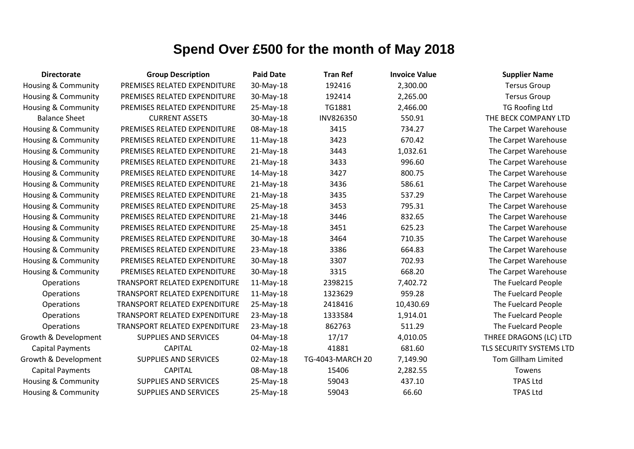| <b>Directorate</b>             | <b>Group Description</b>             | <b>Paid Date</b> | <b>Tran Ref</b>  | <b>Invoice Value</b> | <b>Supplier Name</b>       |
|--------------------------------|--------------------------------------|------------------|------------------|----------------------|----------------------------|
| <b>Housing &amp; Community</b> | PREMISES RELATED EXPENDITURE         | 30-May-18        | 192416           | 2,300.00             | <b>Tersus Group</b>        |
| <b>Housing &amp; Community</b> | PREMISES RELATED EXPENDITURE         | 30-May-18        | 192414           | 2,265.00             | <b>Tersus Group</b>        |
| Housing & Community            | PREMISES RELATED EXPENDITURE         | 25-May-18        | TG1881           | 2,466.00             | <b>TG Roofing Ltd</b>      |
| <b>Balance Sheet</b>           | <b>CURRENT ASSETS</b>                | 30-May-18        | INV826350        | 550.91               | THE BECK COMPANY LTD       |
| <b>Housing &amp; Community</b> | PREMISES RELATED EXPENDITURE         | 08-May-18        | 3415             | 734.27               | The Carpet Warehouse       |
| Housing & Community            | PREMISES RELATED EXPENDITURE         | $11-May-18$      | 3423             | 670.42               | The Carpet Warehouse       |
| Housing & Community            | PREMISES RELATED EXPENDITURE         | $21-May-18$      | 3443             | 1,032.61             | The Carpet Warehouse       |
| Housing & Community            | PREMISES RELATED EXPENDITURE         | $21-May-18$      | 3433             | 996.60               | The Carpet Warehouse       |
| Housing & Community            | PREMISES RELATED EXPENDITURE         | 14-May-18        | 3427             | 800.75               | The Carpet Warehouse       |
| Housing & Community            | PREMISES RELATED EXPENDITURE         | $21-May-18$      | 3436             | 586.61               | The Carpet Warehouse       |
| Housing & Community            | PREMISES RELATED EXPENDITURE         | $21-May-18$      | 3435             | 537.29               | The Carpet Warehouse       |
| Housing & Community            | PREMISES RELATED EXPENDITURE         | 25-May-18        | 3453             | 795.31               | The Carpet Warehouse       |
| Housing & Community            | PREMISES RELATED EXPENDITURE         | $21-May-18$      | 3446             | 832.65               | The Carpet Warehouse       |
| Housing & Community            | PREMISES RELATED EXPENDITURE         | 25-May-18        | 3451             | 625.23               | The Carpet Warehouse       |
| Housing & Community            | PREMISES RELATED EXPENDITURE         | 30-May-18        | 3464             | 710.35               | The Carpet Warehouse       |
| Housing & Community            | PREMISES RELATED EXPENDITURE         | 23-May-18        | 3386             | 664.83               | The Carpet Warehouse       |
| <b>Housing &amp; Community</b> | PREMISES RELATED EXPENDITURE         | 30-May-18        | 3307             | 702.93               | The Carpet Warehouse       |
| <b>Housing &amp; Community</b> | PREMISES RELATED EXPENDITURE         | 30-May-18        | 3315             | 668.20               | The Carpet Warehouse       |
| Operations                     | TRANSPORT RELATED EXPENDITURE        | 11-May-18        | 2398215          | 7,402.72             | The Fuelcard People        |
| Operations                     | TRANSPORT RELATED EXPENDITURE        | $11-May-18$      | 1323629          | 959.28               | The Fuelcard People        |
| Operations                     | <b>TRANSPORT RELATED EXPENDITURE</b> | 25-May-18        | 2418416          | 10,430.69            | The Fuelcard People        |
| Operations                     | TRANSPORT RELATED EXPENDITURE        | 23-May-18        | 1333584          | 1,914.01             | The Fuelcard People        |
| Operations                     | TRANSPORT RELATED EXPENDITURE        | 23-May-18        | 862763           | 511.29               | The Fuelcard People        |
| Growth & Development           | <b>SUPPLIES AND SERVICES</b>         | 04-May-18        | 17/17            | 4,010.05             | THREE DRAGONS (LC) LTD     |
| <b>Capital Payments</b>        | <b>CAPITAL</b>                       | 02-May-18        | 41881            | 681.60               | TLS SECURITY SYSTEMS LTD   |
| Growth & Development           | <b>SUPPLIES AND SERVICES</b>         | 02-May-18        | TG-4043-MARCH 20 | 7,149.90             | <b>Tom Gillham Limited</b> |
| <b>Capital Payments</b>        | <b>CAPITAL</b>                       | 08-May-18        | 15406            | 2,282.55             | Towens                     |
| Housing & Community            | SUPPLIES AND SERVICES                | 25-May-18        | 59043            | 437.10               | <b>TPAS Ltd</b>            |
| Housing & Community            | <b>SUPPLIES AND SERVICES</b>         | 25-May-18        | 59043            | 66.60                | <b>TPAS Ltd</b>            |
|                                |                                      |                  |                  |                      |                            |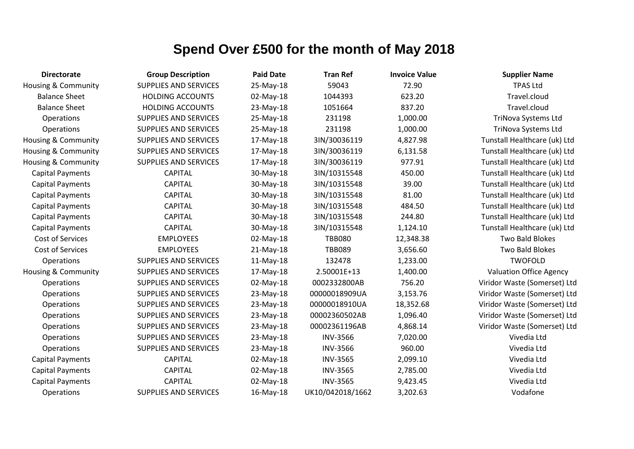| <b>Directorate</b>             | <b>Group Description</b>     | <b>Paid Date</b> | <b>Tran Ref</b>  | <b>Invoice Value</b> | <b>Supplier Name</b>         |
|--------------------------------|------------------------------|------------------|------------------|----------------------|------------------------------|
| <b>Housing &amp; Community</b> | <b>SUPPLIES AND SERVICES</b> | 25-May-18        | 59043            | 72.90                | <b>TPAS Ltd</b>              |
| <b>Balance Sheet</b>           | <b>HOLDING ACCOUNTS</b>      | 02-May-18        | 1044393          | 623.20               | Travel.cloud                 |
| <b>Balance Sheet</b>           | <b>HOLDING ACCOUNTS</b>      | 23-May-18        | 1051664          | 837.20               | Travel.cloud                 |
| Operations                     | <b>SUPPLIES AND SERVICES</b> | 25-May-18        | 231198           | 1,000.00             | TriNova Systems Ltd          |
| Operations                     | SUPPLIES AND SERVICES        | 25-May-18        | 231198           | 1,000.00             | TriNova Systems Ltd          |
| <b>Housing &amp; Community</b> | <b>SUPPLIES AND SERVICES</b> | 17-May-18        | 3IN/30036119     | 4,827.98             | Tunstall Healthcare (uk) Ltd |
| Housing & Community            | SUPPLIES AND SERVICES        | 17-May-18        | 3IN/30036119     | 6,131.58             | Tunstall Healthcare (uk) Ltd |
| <b>Housing &amp; Community</b> | <b>SUPPLIES AND SERVICES</b> | 17-May-18        | 3IN/30036119     | 977.91               | Tunstall Healthcare (uk) Ltd |
| <b>Capital Payments</b>        | <b>CAPITAL</b>               | 30-May-18        | 3IN/10315548     | 450.00               | Tunstall Healthcare (uk) Ltd |
| <b>Capital Payments</b>        | <b>CAPITAL</b>               | 30-May-18        | 3IN/10315548     | 39.00                | Tunstall Healthcare (uk) Ltd |
| Capital Payments               | <b>CAPITAL</b>               | 30-May-18        | 3IN/10315548     | 81.00                | Tunstall Healthcare (uk) Ltd |
| <b>Capital Payments</b>        | <b>CAPITAL</b>               | 30-May-18        | 3IN/10315548     | 484.50               | Tunstall Healthcare (uk) Ltd |
| <b>Capital Payments</b>        | <b>CAPITAL</b>               | 30-May-18        | 3IN/10315548     | 244.80               | Tunstall Healthcare (uk) Ltd |
| <b>Capital Payments</b>        | <b>CAPITAL</b>               | 30-May-18        | 3IN/10315548     | 1,124.10             | Tunstall Healthcare (uk) Ltd |
| Cost of Services               | <b>EMPLOYEES</b>             | 02-May-18        | <b>TBB080</b>    | 12,348.38            | Two Bald Blokes              |
| Cost of Services               | <b>EMPLOYEES</b>             | $21-May-18$      | <b>TBB089</b>    | 3,656.60             | Two Bald Blokes              |
| Operations                     | <b>SUPPLIES AND SERVICES</b> | $11-May-18$      | 132478           | 1,233.00             | <b>TWOFOLD</b>               |
| Housing & Community            | <b>SUPPLIES AND SERVICES</b> | 17-May-18        | 2.50001E+13      | 1,400.00             | Valuation Office Agency      |
| Operations                     | <b>SUPPLIES AND SERVICES</b> | 02-May-18        | 0002332800AB     | 756.20               | Viridor Waste (Somerset) Ltd |
| Operations                     | SUPPLIES AND SERVICES        | 23-May-18        | 00000018909UA    | 3,153.76             | Viridor Waste (Somerset) Ltd |
| Operations                     | SUPPLIES AND SERVICES        | 23-May-18        | 00000018910UA    | 18,352.68            | Viridor Waste (Somerset) Ltd |
| <b>Operations</b>              | <b>SUPPLIES AND SERVICES</b> | 23-May-18        | 00002360502AB    | 1,096.40             | Viridor Waste (Somerset) Ltd |
| Operations                     | SUPPLIES AND SERVICES        | 23-May-18        | 00002361196AB    | 4,868.14             | Viridor Waste (Somerset) Ltd |
| Operations                     | SUPPLIES AND SERVICES        | 23-May-18        | <b>INV-3566</b>  | 7,020.00             | Vivedia Ltd                  |
| Operations                     | SUPPLIES AND SERVICES        | 23-May-18        | <b>INV-3566</b>  | 960.00               | Vivedia Ltd                  |
| <b>Capital Payments</b>        | <b>CAPITAL</b>               | 02-May-18        | <b>INV-3565</b>  | 2,099.10             | Vivedia Ltd                  |
| <b>Capital Payments</b>        | <b>CAPITAL</b>               | 02-May-18        | <b>INV-3565</b>  | 2,785.00             | Vivedia Ltd                  |
| <b>Capital Payments</b>        | <b>CAPITAL</b>               | 02-May-18        | <b>INV-3565</b>  | 9,423.45             | Vivedia Ltd                  |
| Operations                     | <b>SUPPLIES AND SERVICES</b> | 16-May-18        | UK10/042018/1662 | 3,202.63             | Vodafone                     |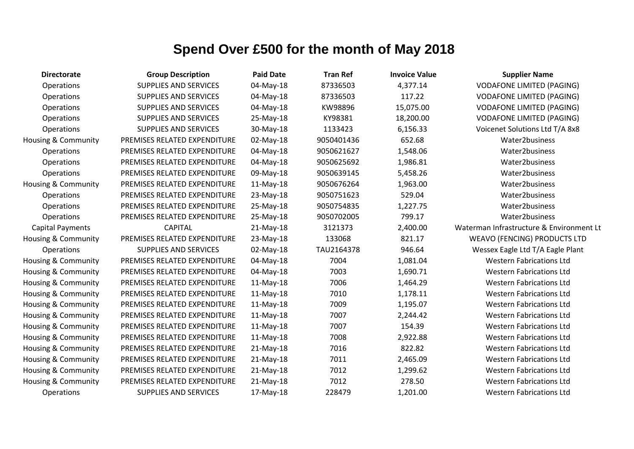| <b>Directorate</b>             | <b>Group Description</b>     | <b>Paid Date</b> | <b>Tran Ref</b> | <b>Invoice Value</b> | <b>Supplier Name</b>                     |
|--------------------------------|------------------------------|------------------|-----------------|----------------------|------------------------------------------|
| Operations                     | <b>SUPPLIES AND SERVICES</b> | 04-May-18        | 87336503        | 4,377.14             | <b>VODAFONE LIMITED (PAGING)</b>         |
| <b>Operations</b>              | <b>SUPPLIES AND SERVICES</b> | 04-May-18        | 87336503        | 117.22               | <b>VODAFONE LIMITED (PAGING)</b>         |
| Operations                     | <b>SUPPLIES AND SERVICES</b> | 04-May-18        | KW98896         | 15,075.00            | <b>VODAFONE LIMITED (PAGING)</b>         |
| Operations                     | <b>SUPPLIES AND SERVICES</b> | 25-May-18        | KY98381         | 18,200.00            | <b>VODAFONE LIMITED (PAGING)</b>         |
| Operations                     | <b>SUPPLIES AND SERVICES</b> | 30-May-18        | 1133423         | 6,156.33             | Voicenet Solutions Ltd T/A 8x8           |
| <b>Housing &amp; Community</b> | PREMISES RELATED EXPENDITURE | 02-May-18        | 9050401436      | 652.68               | Water2business                           |
| Operations                     | PREMISES RELATED EXPENDITURE | 04-May-18        | 9050621627      | 1,548.06             | Water2business                           |
| Operations                     | PREMISES RELATED EXPENDITURE | 04-May-18        | 9050625692      | 1,986.81             | Water2business                           |
| Operations                     | PREMISES RELATED EXPENDITURE | 09-May-18        | 9050639145      | 5,458.26             | Water2business                           |
| <b>Housing &amp; Community</b> | PREMISES RELATED EXPENDITURE | $11-May-18$      | 9050676264      | 1,963.00             | Water2business                           |
| Operations                     | PREMISES RELATED EXPENDITURE | 23-May-18        | 9050751623      | 529.04               | Water2business                           |
| Operations                     | PREMISES RELATED EXPENDITURE | 25-May-18        | 9050754835      | 1,227.75             | Water2business                           |
| Operations                     | PREMISES RELATED EXPENDITURE | 25-May-18        | 9050702005      | 799.17               | Water2business                           |
| <b>Capital Payments</b>        | <b>CAPITAL</b>               | $21-May-18$      | 3121373         | 2,400.00             | Waterman Infrastructure & Environment Lt |
| Housing & Community            | PREMISES RELATED EXPENDITURE | 23-May-18        | 133068          | 821.17               | <b>WEAVO (FENCING) PRODUCTS LTD</b>      |
| Operations                     | <b>SUPPLIES AND SERVICES</b> | 02-May-18        | TAU2164378      | 946.64               | Wessex Eagle Ltd T/A Eagle Plant         |
| Housing & Community            | PREMISES RELATED EXPENDITURE | 04-May-18        | 7004            | 1,081.04             | <b>Western Fabrications Ltd</b>          |
| Housing & Community            | PREMISES RELATED EXPENDITURE | 04-May-18        | 7003            | 1,690.71             | <b>Western Fabrications Ltd</b>          |
| Housing & Community            | PREMISES RELATED EXPENDITURE | 11-May-18        | 7006            | 1,464.29             | <b>Western Fabrications Ltd</b>          |
| <b>Housing &amp; Community</b> | PREMISES RELATED EXPENDITURE | $11-May-18$      | 7010            | 1,178.11             | <b>Western Fabrications Ltd</b>          |
| Housing & Community            | PREMISES RELATED EXPENDITURE | $11-May-18$      | 7009            | 1,195.07             | <b>Western Fabrications Ltd</b>          |
| Housing & Community            | PREMISES RELATED EXPENDITURE | 11-May-18        | 7007            | 2,244.42             | <b>Western Fabrications Ltd</b>          |
| Housing & Community            | PREMISES RELATED EXPENDITURE | $11-May-18$      | 7007            | 154.39               | <b>Western Fabrications Ltd</b>          |
| <b>Housing &amp; Community</b> | PREMISES RELATED EXPENDITURE | $11-May-18$      | 7008            | 2,922.88             | <b>Western Fabrications Ltd</b>          |
| Housing & Community            | PREMISES RELATED EXPENDITURE | $21-May-18$      | 7016            | 822.82               | <b>Western Fabrications Ltd</b>          |
| <b>Housing &amp; Community</b> | PREMISES RELATED EXPENDITURE | $21$ -May-18     | 7011            | 2,465.09             | <b>Western Fabrications Ltd</b>          |
| Housing & Community            | PREMISES RELATED EXPENDITURE | $21-May-18$      | 7012            | 1,299.62             | <b>Western Fabrications Ltd</b>          |
| Housing & Community            | PREMISES RELATED EXPENDITURE | $21-May-18$      | 7012            | 278.50               | <b>Western Fabrications Ltd</b>          |
| Operations                     | <b>SUPPLIES AND SERVICES</b> | 17-May-18        | 228479          | 1,201.00             | <b>Western Fabrications Ltd</b>          |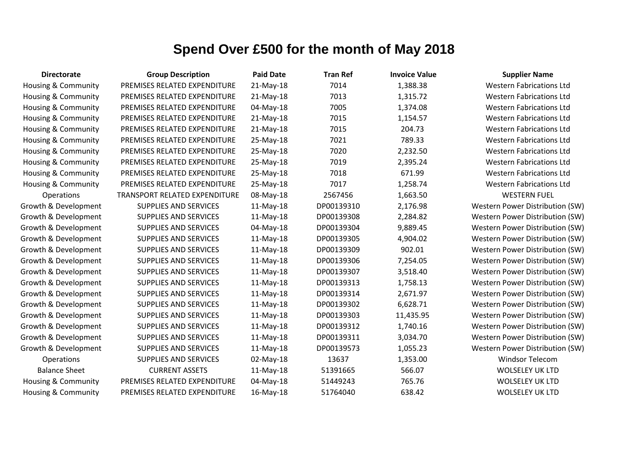| <b>Directorate</b>             | <b>Group Description</b>      | <b>Paid Date</b> | <b>Tran Ref</b> | <b>Invoice Value</b> | <b>Supplier Name</b>            |
|--------------------------------|-------------------------------|------------------|-----------------|----------------------|---------------------------------|
| <b>Housing &amp; Community</b> | PREMISES RELATED EXPENDITURE  | 21-May-18        | 7014            | 1,388.38             | <b>Western Fabrications Ltd</b> |
| Housing & Community            | PREMISES RELATED EXPENDITURE  | $21-May-18$      | 7013            | 1,315.72             | <b>Western Fabrications Ltd</b> |
| Housing & Community            | PREMISES RELATED EXPENDITURE  | 04-May-18        | 7005            | 1,374.08             | <b>Western Fabrications Ltd</b> |
| <b>Housing &amp; Community</b> | PREMISES RELATED EXPENDITURE  | 21-May-18        | 7015            | 1,154.57             | <b>Western Fabrications Ltd</b> |
| <b>Housing &amp; Community</b> | PREMISES RELATED EXPENDITURE  | 21-May-18        | 7015            | 204.73               | <b>Western Fabrications Ltd</b> |
| <b>Housing &amp; Community</b> | PREMISES RELATED EXPENDITURE  | 25-May-18        | 7021            | 789.33               | <b>Western Fabrications Ltd</b> |
| Housing & Community            | PREMISES RELATED EXPENDITURE  | 25-May-18        | 7020            | 2,232.50             | <b>Western Fabrications Ltd</b> |
| <b>Housing &amp; Community</b> | PREMISES RELATED EXPENDITURE  | 25-May-18        | 7019            | 2,395.24             | <b>Western Fabrications Ltd</b> |
| <b>Housing &amp; Community</b> | PREMISES RELATED EXPENDITURE  | 25-May-18        | 7018            | 671.99               | <b>Western Fabrications Ltd</b> |
| <b>Housing &amp; Community</b> | PREMISES RELATED EXPENDITURE  | 25-May-18        | 7017            | 1,258.74             | <b>Western Fabrications Ltd</b> |
| Operations                     | TRANSPORT RELATED EXPENDITURE | 08-May-18        | 2567456         | 1,663.50             | <b>WESTERN FUEL</b>             |
| Growth & Development           | <b>SUPPLIES AND SERVICES</b>  | 11-May-18        | DP00139310      | 2,176.98             | Western Power Distribution (SW) |
| Growth & Development           | SUPPLIES AND SERVICES         | $11-May-18$      | DP00139308      | 2,284.82             | Western Power Distribution (SW) |
| Growth & Development           | SUPPLIES AND SERVICES         | 04-May-18        | DP00139304      | 9,889.45             | Western Power Distribution (SW) |
| Growth & Development           | SUPPLIES AND SERVICES         | $11-May-18$      | DP00139305      | 4,904.02             | Western Power Distribution (SW) |
| Growth & Development           | <b>SUPPLIES AND SERVICES</b>  | 11-May-18        | DP00139309      | 902.01               | Western Power Distribution (SW) |
| Growth & Development           | <b>SUPPLIES AND SERVICES</b>  | 11-May-18        | DP00139306      | 7,254.05             | Western Power Distribution (SW) |
| Growth & Development           | <b>SUPPLIES AND SERVICES</b>  | 11-May-18        | DP00139307      | 3,518.40             | Western Power Distribution (SW) |
| Growth & Development           | SUPPLIES AND SERVICES         | 11-May-18        | DP00139313      | 1,758.13             | Western Power Distribution (SW) |
| Growth & Development           | <b>SUPPLIES AND SERVICES</b>  | 11-May-18        | DP00139314      | 2,671.97             | Western Power Distribution (SW) |
| Growth & Development           | <b>SUPPLIES AND SERVICES</b>  | $11-May-18$      | DP00139302      | 6,628.71             | Western Power Distribution (SW) |
| Growth & Development           | SUPPLIES AND SERVICES         | 11-May-18        | DP00139303      | 11,435.95            | Western Power Distribution (SW) |
| Growth & Development           | <b>SUPPLIES AND SERVICES</b>  | 11-May-18        | DP00139312      | 1,740.16             | Western Power Distribution (SW) |
| Growth & Development           | SUPPLIES AND SERVICES         | 11-May-18        | DP00139311      | 3,034.70             | Western Power Distribution (SW) |
| Growth & Development           | <b>SUPPLIES AND SERVICES</b>  | 11-May-18        | DP00139573      | 1,055.23             | Western Power Distribution (SW) |
| <b>Operations</b>              | <b>SUPPLIES AND SERVICES</b>  | 02-May-18        | 13637           | 1,353.00             | <b>Windsor Telecom</b>          |
| <b>Balance Sheet</b>           | <b>CURRENT ASSETS</b>         | $11-May-18$      | 51391665        | 566.07               | <b>WOLSELEY UK LTD</b>          |
| Housing & Community            | PREMISES RELATED EXPENDITURE  | 04-May-18        | 51449243        | 765.76               | <b>WOLSELEY UK LTD</b>          |
| Housing & Community            | PREMISES RELATED EXPENDITURE  | 16-May-18        | 51764040        | 638.42               | <b>WOLSELEY UK LTD</b>          |